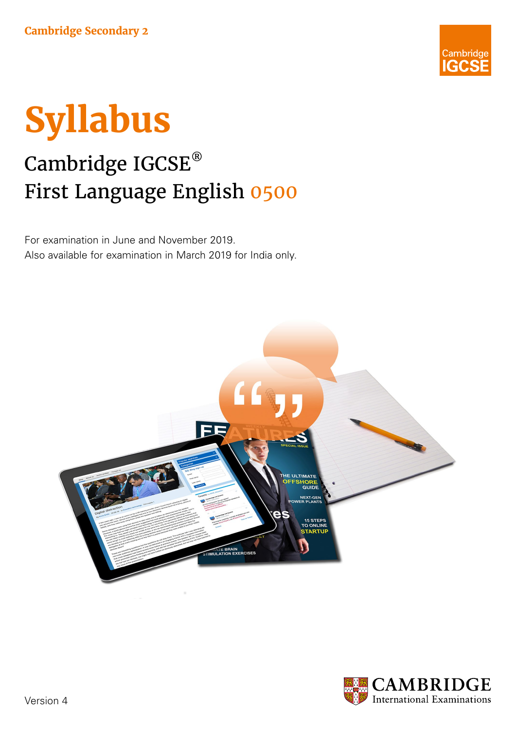



# Cambridge IGCSE® First Language English 0500

For examination in June and November 2019. Also available for examination in March 2019 for India only.



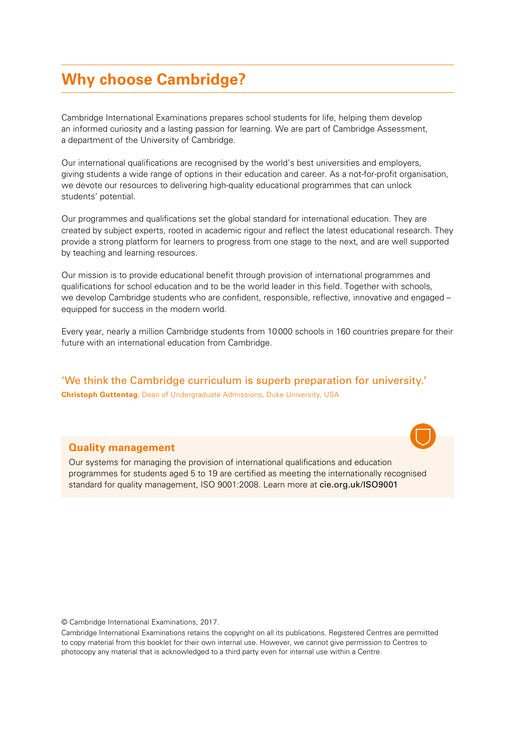### **Why choose Cambridge?**

Cambridge International Examinations prepares school students for life, helping them develop an informed curiosity and a lasting passion for learning. We are part of Cambridge Assessment, a department of the University of Cambridge.

Our international qualifications are recognised by the world's best universities and employers, giving students a wide range of options in their education and career. As a not-for-profit organisation, we devote our resources to delivering high-quality educational programmes that can unlock students' potential.

Our programmes and qualifications set the global standard for international education. They are created by subject experts, rooted in academic rigour and reflect the latest educational research. They provide a strong platform for learners to progress from one stage to the next, and are well supported by teaching and learning resources.

Our mission is to provide educational benefit through provision of international programmes and qualifications for school education and to be the world leader in this field. Together with schools, we develop Cambridge students who are confident, responsible, reflective, innovative and engaged equipped for success in the modern world.

Every year, nearly a million Cambridge students from 10000 schools in 160 countries prepare for their future with an international education from Cambridge.

'We think the Cambridge curriculum is superb preparation for university.' **Christoph Guttentag**, Dean of Undergraduate Admissions, Duke University, USA

#### **Quality management**

Our systems for managing the provision of international qualifications and education programmes for students aged 5 to 19 are certified as meeting the internationally recognised standard for quality management, ISO 9001:2008. Learn more at cie.org.uk/ISO9001

© Cambridge International Examinations, 2017.

Cambridge International Examinations retains the copyright on all its publications. Registered Centres are permitted to copy material from this booklet for their own internal use. However, we cannot give permission to Centres to photocopy any material that is acknowledged to a third party even for internal use within a Centre.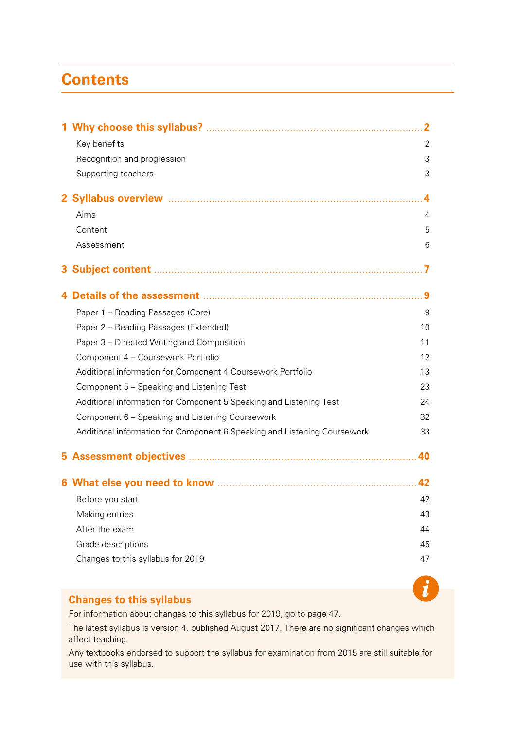## <span id="page-2-0"></span>**Contents**

|    |                                                                                                                 | 2              |
|----|-----------------------------------------------------------------------------------------------------------------|----------------|
|    | Key benefits                                                                                                    | 2              |
|    | Recognition and progression                                                                                     | 3              |
|    | Supporting teachers                                                                                             | 3              |
|    |                                                                                                                 | 4              |
|    | Aims                                                                                                            | $\overline{4}$ |
|    | Content                                                                                                         | 5              |
|    | Assessment                                                                                                      | 6              |
| 3. |                                                                                                                 |                |
|    | Details of the assessment manufactured and service of the assessment manufactured and service of the assessment |                |
|    | Paper 1 - Reading Passages (Core)                                                                               | 9              |
|    | Paper 2 - Reading Passages (Extended)                                                                           | 10             |
|    | Paper 3 - Directed Writing and Composition                                                                      | 11             |
|    | Component 4 - Coursework Portfolio                                                                              | 12             |
|    | Additional information for Component 4 Coursework Portfolio                                                     | 13             |
|    | Component 5 - Speaking and Listening Test                                                                       | 23             |
|    | Additional information for Component 5 Speaking and Listening Test                                              | 24             |
|    | Component 6 - Speaking and Listening Coursework                                                                 | 32             |
|    | Additional information for Component 6 Speaking and Listening Coursework                                        | 33             |
| 5  |                                                                                                                 | 40             |
|    |                                                                                                                 | 42             |
|    | Before you start                                                                                                | 42             |
|    | Making entries                                                                                                  | 43             |
|    | After the exam                                                                                                  | 44             |
|    | Grade descriptions                                                                                              | 45             |
|    | Changes to this syllabus for 2019                                                                               | 47             |
|    |                                                                                                                 |                |

#### **[Changes to this syllabus](#page-48-1)**

For information about changes to this syllabus for 2019, go to page 47.

The latest syllabus is version 4, published August 2017. There are no significant changes which affect teaching.

 $\boldsymbol{t}$ 

Any textbooks endorsed to support the syllabus for examination from 2015 are still suitable for use with this syllabus.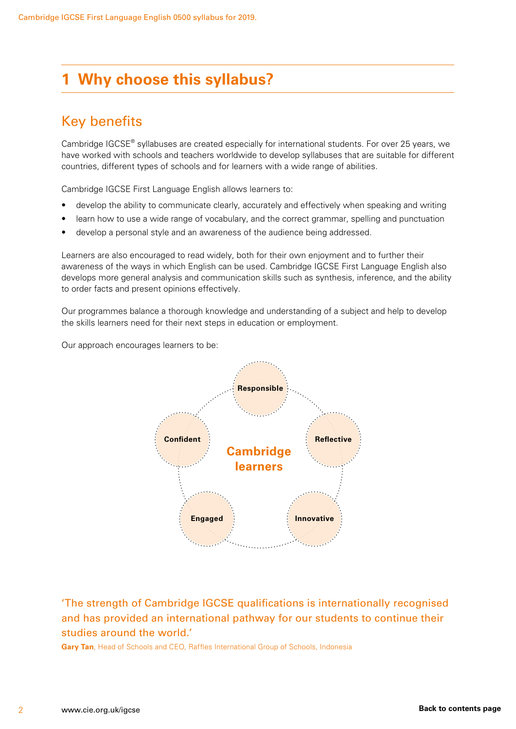## <span id="page-3-0"></span>**1 Why choose this syllabus?**

### Key benefits

Cambridge IGCSE® syllabuses are created especially for international students. For over 25 years, we have worked with schools and teachers worldwide to develop syllabuses that are suitable for different countries, different types of schools and for learners with a wide range of abilities.

Cambridge IGCSE First Language English allows learners to:

- develop the ability to communicate clearly, accurately and effectively when speaking and writing
- learn how to use a wide range of vocabulary, and the correct grammar, spelling and punctuation
- develop a personal style and an awareness of the audience being addressed.

Learners are also encouraged to read widely, both for their own enjoyment and to further their awareness of the ways in which English can be used. Cambridge IGCSE First Language English also develops more general analysis and communication skills such as synthesis, inference, and the ability to order facts and present opinions effectively.

Our programmes balance a thorough knowledge and understanding of a subject and help to develop the skills learners need for their next steps in education or employment.

Our approach encourages learners to be:



'The strength of Cambridge IGCSE qualifications is internationally recognised and has provided an international pathway for our students to continue their studies around the world.'

**Gary Tan**, Head of Schools and CEO, Raffles International Group of Schools, Indonesia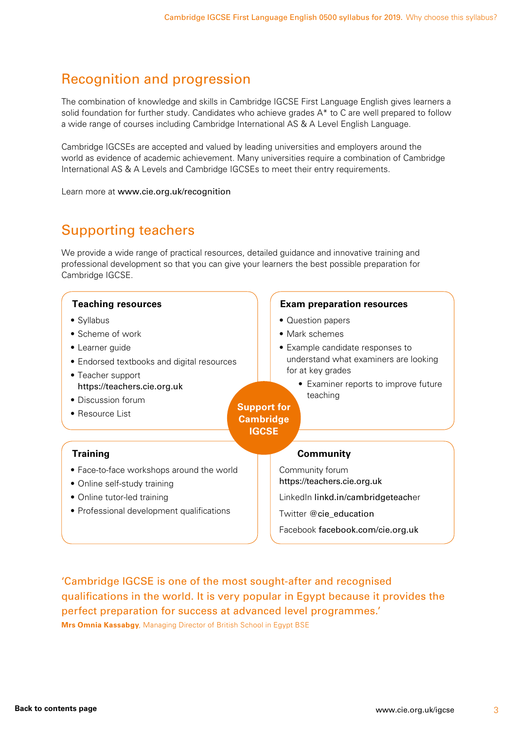### <span id="page-4-0"></span>Recognition and progression

The combination of knowledge and skills in Cambridge IGCSE First Language English gives learners a solid foundation for further study. Candidates who achieve grades A\* to C are well prepared to follow a wide range of courses including Cambridge International AS & A Level English Language.

Cambridge IGCSEs are accepted and valued by leading universities and employers around the world as evidence of academic achievement. Many universities require a combination of Cambridge International AS & A Levels and Cambridge IGCSEs to meet their entry requirements.

Learn more at www.cie.org.uk/recognition

### Supporting teachers

We provide a wide range of practical resources, detailed guidance and innovative training and professional development so that you can give your learners the best possible preparation for Cambridge IGCSE.



'Cambridge IGCSE is one of the most sought-after and recognised qualifications in the world. It is very popular in Egypt because it provides the perfect preparation for success at advanced level programmes.' **Mrs Omnia Kassabgy**, Managing Director of British School in Egypt BSE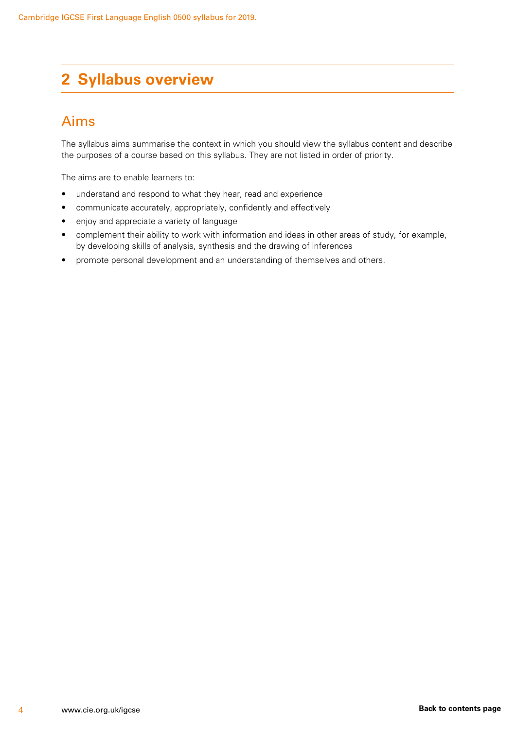## <span id="page-5-0"></span>**2 Syllabus overview**

### Aims

The syllabus aims summarise the context in which you should view the syllabus content and describe the purposes of a course based on this syllabus. They are not listed in order of priority.

The aims are to enable learners to:

- understand and respond to what they hear, read and experience
- communicate accurately, appropriately, confidently and effectively
- enjoy and appreciate a variety of language
- complement their ability to work with information and ideas in other areas of study, for example, by developing skills of analysis, synthesis and the drawing of inferences
- promote personal development and an understanding of themselves and others.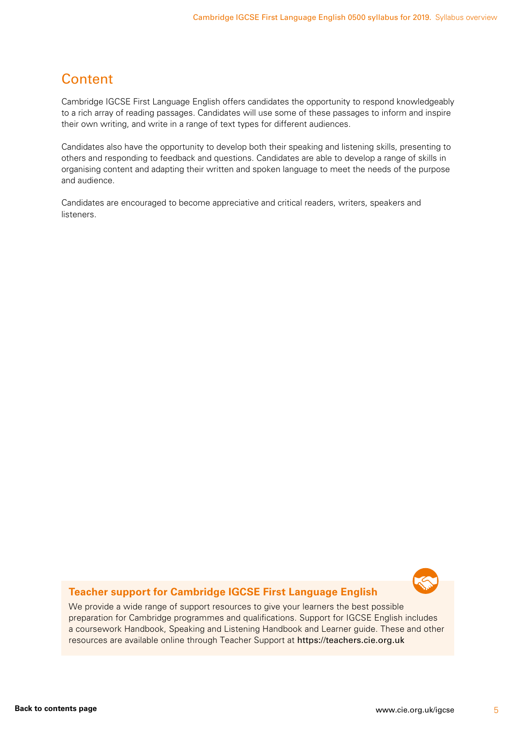### <span id="page-6-0"></span>**Content**

Cambridge IGCSE First Language English offers candidates the opportunity to respond knowledgeably to a rich array of reading passages. Candidates will use some of these passages to inform and inspire their own writing, and write in a range of text types for different audiences.

Candidates also have the opportunity to develop both their speaking and listening skills, presenting to others and responding to feedback and questions. Candidates are able to develop a range of skills in organising content and adapting their written and spoken language to meet the needs of the purpose and audience.

Candidates are encouraged to become appreciative and critical readers, writers, speakers and listeners.



#### **Teacher support for Cambridge IGCSE First Language English**

We provide a wide range of support resources to give your learners the best possible preparation for Cambridge programmes and qualifications. Support for IGCSE English includes a coursework Handbook, Speaking and Listening Handbook and Learner guide. These and other resources are available online through Teacher Support at https://teachers.cie.org.uk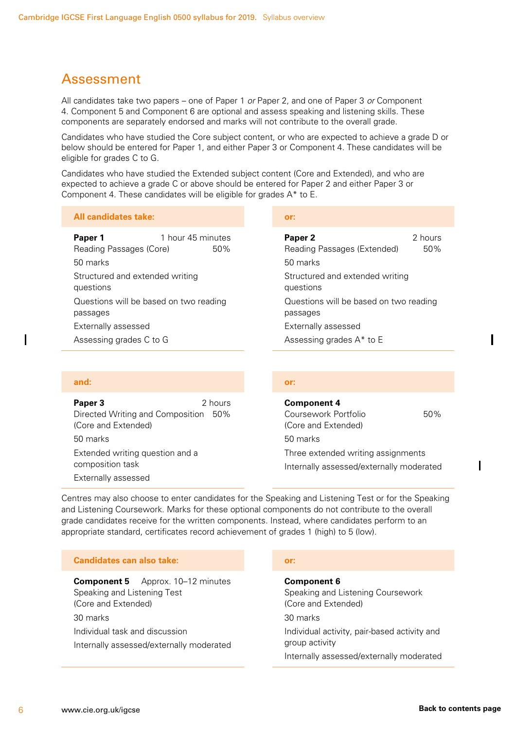### <span id="page-7-0"></span>Assessment

All candidates take two papers – one of Paper 1 *or* Paper 2, and one of Paper 3 *or* Component 4. Component 5 and Component 6 are optional and assess speaking and listening skills. These components are separately endorsed and marks will not contribute to the overall grade.

Candidates who have studied the Core subject content, or who are expected to achieve a grade D or below should be entered for Paper 1, and either Paper 3 or Component 4. These candidates will be eligible for grades C to G.

Candidates who have studied the Extended subject content (Core and Extended), and who are expected to achieve a grade C or above should be entered for Paper 2 and either Paper 3 or Component 4. These candidates will be eligible for grades A\* to E.

#### **All candidates take: or:**

**Paper 1** 1 hour 45 minutes Reading Passages (Core) 50% 50 marks Structured and extended writing questions Questions will be based on two reading passages Externally assessed Assessing grades C to G

#### **and: or:**

**Paper 3** 2 hours Directed Writing and Composition 50% (Core and Extended) 50 marks Extended writing question and a

composition task Externally assessed

**Paper 2** 2 hours Reading Passages (Extended) 50% 50 marks Structured and extended writing questions Questions will be based on two reading passages Externally assessed Assessing grades A\* to E

**Component 4** Coursework Portfolio 60% (Core and Extended) 50 marks Three extended writing assignments Internally assessed/externally moderated

Centres may also choose to enter candidates for the Speaking and Listening Test or for the Speaking and Listening Coursework. Marks for these optional components do not contribute to the overall grade candidates receive for the written components. Instead, where candidates perform to an appropriate standard, certificates record achievement of grades 1 (high) to 5 (low).

| <b>Candidates can also take:</b>                                                                  | or:                                                                                                        |
|---------------------------------------------------------------------------------------------------|------------------------------------------------------------------------------------------------------------|
| Approx. 10–12 minutes<br><b>Component 5</b><br>Speaking and Listening Test<br>(Core and Extended) | <b>Component 6</b><br>Speaking and Listening Coursework<br>(Core and Extended)                             |
| 30 marks                                                                                          | 30 marks                                                                                                   |
| Individual task and discussion<br>Internally assessed/externally moderated                        | Individual activity, pair-based activity and<br>group activity<br>Internally assessed/externally moderated |

 $\mathbf I$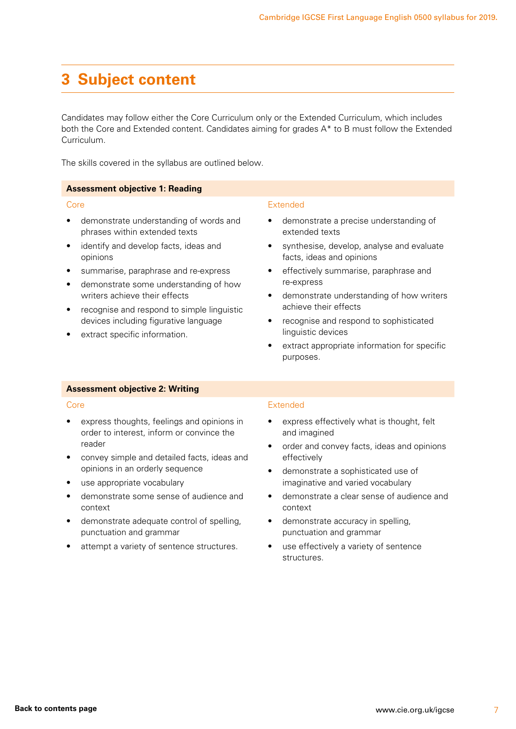### <span id="page-8-0"></span>**3 Subject content**

Candidates may follow either the Core Curriculum only or the Extended Curriculum, which includes both the Core and Extended content. Candidates aiming for grades A\* to B must follow the Extended Curriculum.

The skills covered in the syllabus are outlined below.

#### **Assessment objective 1: Reading**

#### Core

- demonstrate understanding of words and phrases within extended texts
- identify and develop facts, ideas and opinions
- summarise, paraphrase and re-express
- demonstrate some understanding of how writers achieve their effects
- recognise and respond to simple linguistic devices including figurative language
- extract specific information.

#### Extended

- demonstrate a precise understanding of extended texts
- synthesise, develop, analyse and evaluate facts, ideas and opinions
- effectively summarise, paraphrase and re-express
- demonstrate understanding of how writers achieve their effects
- recognise and respond to sophisticated linguistic devices
- extract appropriate information for specific purposes.

#### **Assessment objective 2: Writing**

#### Core

- express thoughts, feelings and opinions in order to interest, inform or convince the reader
- convey simple and detailed facts, ideas and opinions in an orderly sequence
- use appropriate vocabulary
- demonstrate some sense of audience and context
- demonstrate adequate control of spelling, punctuation and grammar
- attempt a variety of sentence structures.

#### Extended

- express effectively what is thought, felt and imagined
- order and convey facts, ideas and opinions effectively
- demonstrate a sophisticated use of imaginative and varied vocabulary
- demonstrate a clear sense of audience and context
- demonstrate accuracy in spelling, punctuation and grammar
- use effectively a variety of sentence structures.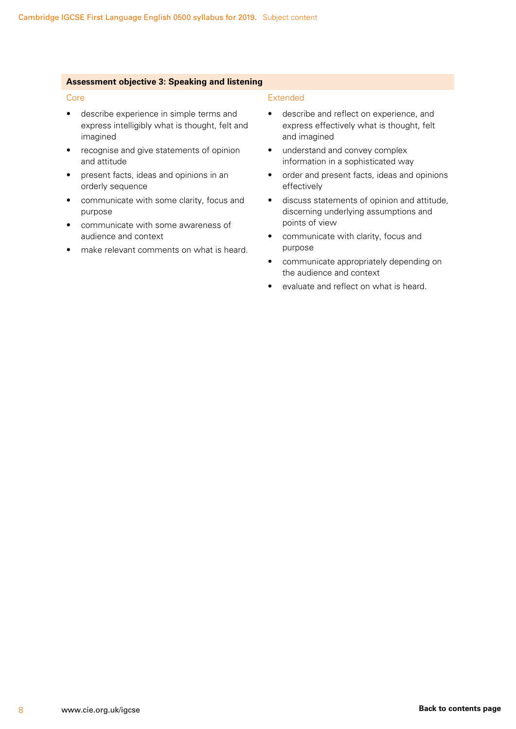#### **Assessment objective 3: Speaking and listening**

#### Core

- describe experience in simple terms and express intelligibly what is thought, felt and imagined
- recognise and give statements of opinion and attitude
- present facts, ideas and opinions in an orderly sequence
- communicate with some clarity, focus and purpose
- communicate with some awareness of audience and context
- make relevant comments on what is heard.

#### Extended

- describe and reflect on experience, and express effectively what is thought, felt and imagined
- understand and convey complex information in a sophisticated way
- order and present facts, ideas and opinions effectively
- discuss statements of opinion and attitude, discerning underlying assumptions and points of view
- communicate with clarity, focus and purpose
- communicate appropriately depending on the audience and context
- evaluate and reflect on what is heard.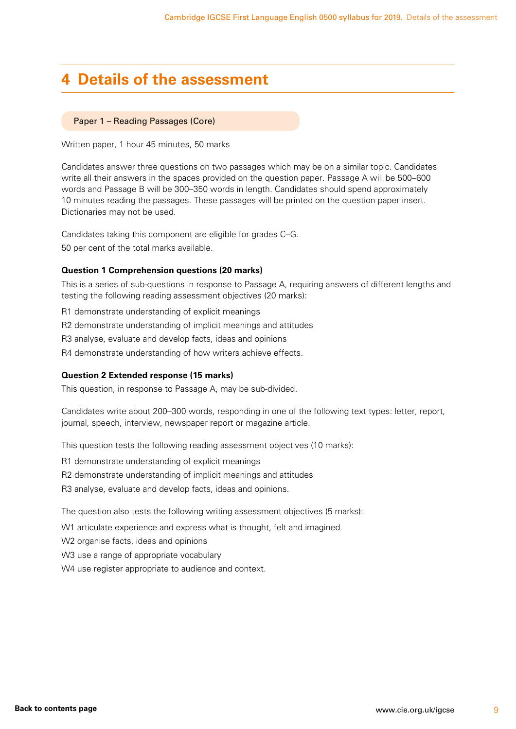### <span id="page-10-0"></span>**4 Details of the assessment**

#### Paper 1 – Reading Passages (Core)

Written paper, 1 hour 45 minutes, 50 marks

Candidates answer three questions on two passages which may be on a similar topic. Candidates write all their answers in the spaces provided on the question paper. Passage A will be 500–600 words and Passage B will be 300–350 words in length. Candidates should spend approximately 10 minutes reading the passages. These passages will be printed on the question paper insert. Dictionaries may not be used.

Candidates taking this component are eligible for grades C–G. 50 per cent of the total marks available.

#### **Question 1 Comprehension questions (20 marks)**

This is a series of sub-questions in response to Passage A, requiring answers of different lengths and testing the following reading assessment objectives (20 marks):

R1 demonstrate understanding of explicit meanings

R2 demonstrate understanding of implicit meanings and attitudes

R3 analyse, evaluate and develop facts, ideas and opinions

R4 demonstrate understanding of how writers achieve effects.

#### **Question 2 Extended response (15 marks)**

This question, in response to Passage A, may be sub-divided.

Candidates write about 200–300 words, responding in one of the following text types: letter, report, journal, speech, interview, newspaper report or magazine article.

This question tests the following reading assessment objectives (10 marks):

R1 demonstrate understanding of explicit meanings

R2 demonstrate understanding of implicit meanings and attitudes

R3 analyse, evaluate and develop facts, ideas and opinions.

The question also tests the following writing assessment objectives (5 marks):

W<sub>1</sub> articulate experience and express what is thought, felt and imagined

W2 organise facts, ideas and opinions

W3 use a range of appropriate vocabulary

W4 use register appropriate to audience and context.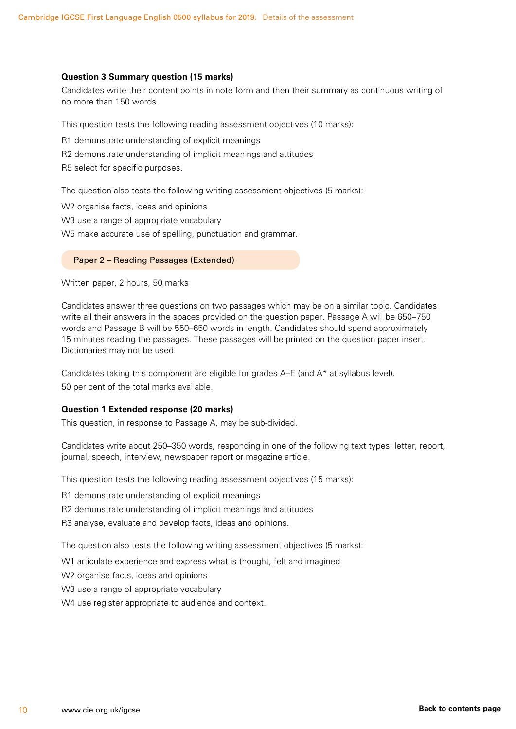#### <span id="page-11-0"></span>**Question 3 Summary question (15 marks)**

Candidates write their content points in note form and then their summary as continuous writing of no more than 150 words.

This question tests the following reading assessment objectives (10 marks):

R1 demonstrate understanding of explicit meanings

R2 demonstrate understanding of implicit meanings and attitudes

R5 select for specific purposes.

The question also tests the following writing assessment objectives (5 marks):

W2 organise facts, ideas and opinions

W3 use a range of appropriate vocabulary

W5 make accurate use of spelling, punctuation and grammar.

#### Paper 2 – Reading Passages (Extended)

Written paper, 2 hours, 50 marks

Candidates answer three questions on two passages which may be on a similar topic. Candidates write all their answers in the spaces provided on the question paper. Passage A will be 650–750 words and Passage B will be 550–650 words in length. Candidates should spend approximately 15 minutes reading the passages. These passages will be printed on the question paper insert. Dictionaries may not be used.

Candidates taking this component are eligible for grades A–E (and A\* at syllabus level). 50 per cent of the total marks available.

#### **Question 1 Extended response (20 marks)**

This question, in response to Passage A, may be sub-divided.

Candidates write about 250–350 words, responding in one of the following text types: letter, report, journal, speech, interview, newspaper report or magazine article.

This question tests the following reading assessment objectives (15 marks):

R1 demonstrate understanding of explicit meanings

R2 demonstrate understanding of implicit meanings and attitudes

R3 analyse, evaluate and develop facts, ideas and opinions.

The question also tests the following writing assessment objectives (5 marks):

W1 articulate experience and express what is thought, felt and imagined

W2 organise facts, ideas and opinions

W3 use a range of appropriate vocabulary

W4 use register appropriate to audience and context.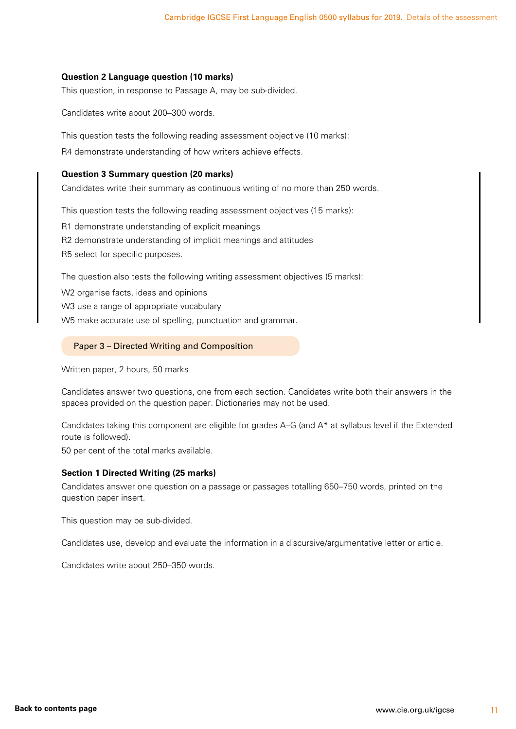#### <span id="page-12-0"></span>**Question 2 Language question (10 marks)**

This question, in response to Passage A, may be sub-divided.

Candidates write about 200–300 words.

This question tests the following reading assessment objective (10 marks):

R4 demonstrate understanding of how writers achieve effects.

#### **Question 3 Summary question (20 marks)**

Candidates write their summary as continuous writing of no more than 250 words.

This question tests the following reading assessment objectives (15 marks):

R1 demonstrate understanding of explicit meanings

R2 demonstrate understanding of implicit meanings and attitudes

R5 select for specific purposes.

The question also tests the following writing assessment objectives (5 marks):

W2 organise facts, ideas and opinions W3 use a range of appropriate vocabulary

W5 make accurate use of spelling, punctuation and grammar.

#### Paper 3 – Directed Writing and Composition

Written paper, 2 hours, 50 marks

Candidates answer two questions, one from each section. Candidates write both their answers in the spaces provided on the question paper. Dictionaries may not be used.

Candidates taking this component are eligible for grades A–G (and A\* at syllabus level if the Extended route is followed).

50 per cent of the total marks available.

#### **Section 1 Directed Writing (25 marks)**

Candidates answer one question on a passage or passages totalling 650–750 words, printed on the question paper insert.

This question may be sub-divided.

Candidates use, develop and evaluate the information in a discursive/argumentative letter or article.

Candidates write about 250–350 words.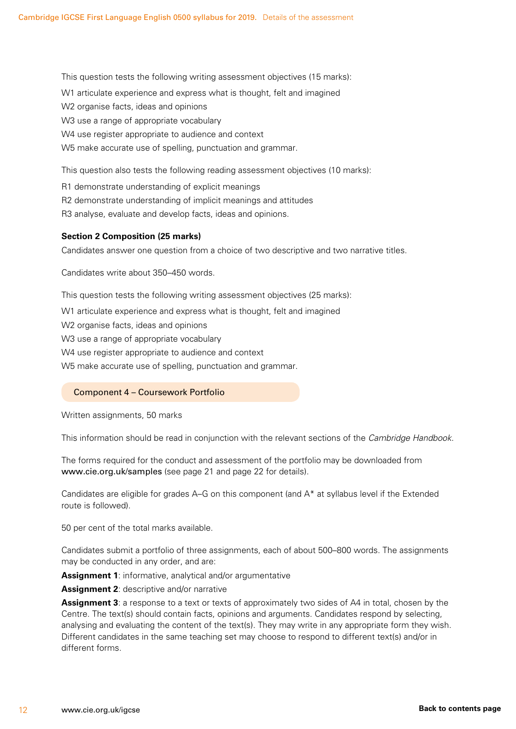<span id="page-13-0"></span>This question tests the following writing assessment objectives (15 marks): W1 articulate experience and express what is thought, felt and imagined W2 organise facts, ideas and opinions W3 use a range of appropriate vocabulary W4 use register appropriate to audience and context W5 make accurate use of spelling, punctuation and grammar.

This question also tests the following reading assessment objectives (10 marks):

R1 demonstrate understanding of explicit meanings

R2 demonstrate understanding of implicit meanings and attitudes

R3 analyse, evaluate and develop facts, ideas and opinions.

#### **Section 2 Composition (25 marks)**

Candidates answer one question from a choice of two descriptive and two narrative titles.

Candidates write about 350–450 words.

This question tests the following writing assessment objectives (25 marks):

W1 articulate experience and express what is thought, felt and imagined

W2 organise facts, ideas and opinions

W3 use a range of appropriate vocabulary

W4 use register appropriate to audience and context

W5 make accurate use of spelling, punctuation and grammar.

#### Component 4 – Coursework Portfolio

Written assignments, 50 marks

This information should be read in conjunction with the relevant sections of the *Cambridge Handbook*.

The forms required for the conduct and assessment of the portfolio may be downloaded from www.cie.org.uk/samples (see page 21 and page 22 for details).

Candidates are eligible for grades A–G on this component (and A\* at syllabus level if the Extended route is followed).

50 per cent of the total marks available.

Candidates submit a portfolio of three assignments, each of about 500–800 words. The assignments may be conducted in any order, and are:

**Assignment 1**: informative, analytical and/or argumentative

**Assignment 2**: descriptive and/or narrative

**Assignment 3**: a response to a text or texts of approximately two sides of A4 in total, chosen by the Centre. The text(s) should contain facts, opinions and arguments. Candidates respond by selecting, analysing and evaluating the content of the text(s). They may write in any appropriate form they wish. Different candidates in the same teaching set may choose to respond to different text(s) and/or in different forms.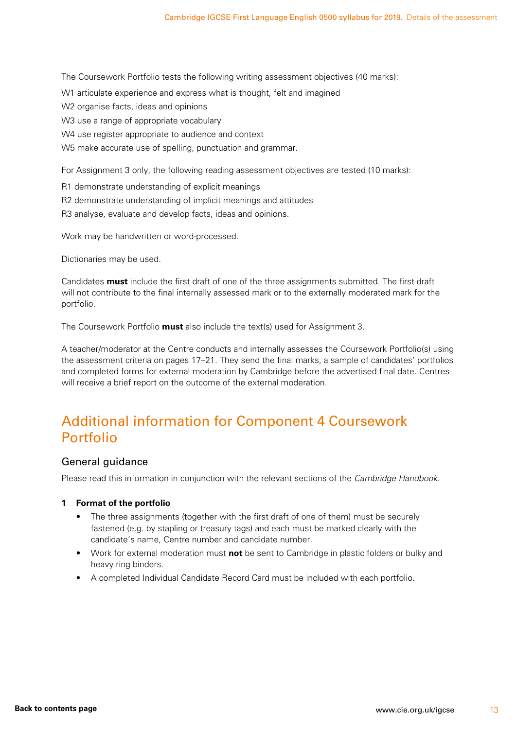<span id="page-14-0"></span>The Coursework Portfolio tests the following writing assessment objectives (40 marks):

- W1 articulate experience and express what is thought, felt and imagined
- W2 organise facts, ideas and opinions
- W3 use a range of appropriate vocabulary
- W4 use register appropriate to audience and context
- W5 make accurate use of spelling, punctuation and grammar.

For Assignment 3 only, the following reading assessment objectives are tested (10 marks):

- R1 demonstrate understanding of explicit meanings
- R2 demonstrate understanding of implicit meanings and attitudes
- R3 analyse, evaluate and develop facts, ideas and opinions.

Work may be handwritten or word-processed.

Dictionaries may be used.

Candidates **must** include the first draft of one of the three assignments submitted. The first draft will not contribute to the final internally assessed mark or to the externally moderated mark for the portfolio.

The Coursework Portfolio **must** also include the text(s) used for Assignment 3.

A teacher/moderator at the Centre conducts and internally assesses the Coursework Portfolio(s) using the assessment criteria on pages 17–21. They send the final marks, a sample of candidates' portfolios and completed forms for external moderation by Cambridge before the advertised final date. Centres will receive a brief report on the outcome of the external moderation.

### Additional information for Component 4 Coursework Portfolio

#### General guidance

Please read this information in conjunction with the relevant sections of the *Cambridge Handbook*.

#### **1 Format of the portfolio**

- The three assignments (together with the first draft of one of them) must be securely fastened (e.g. by stapling or treasury tags) and each must be marked clearly with the candidate's name, Centre number and candidate number.
- Work for external moderation must **not** be sent to Cambridge in plastic folders or bulky and heavy ring binders.
- A completed Individual Candidate Record Card must be included with each portfolio.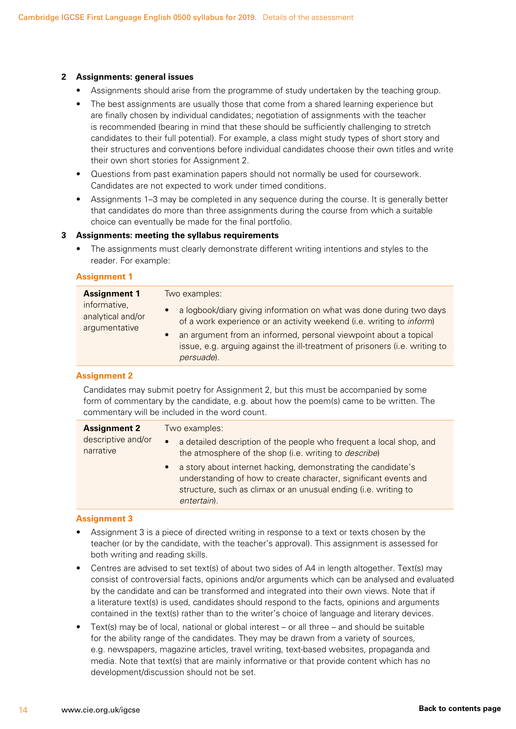#### **2 Assignments: general issues**

- Assignments should arise from the programme of study undertaken by the teaching group.
- The best assignments are usually those that come from a shared learning experience but are finally chosen by individual candidates; negotiation of assignments with the teacher is recommended (bearing in mind that these should be sufficiently challenging to stretch candidates to their full potential). For example, a class might study types of short story and their structures and conventions before individual candidates choose their own titles and write their own short stories for Assignment 2.
- Questions from past examination papers should not normally be used for coursework. Candidates are not expected to work under timed conditions.
- Assignments 1–3 may be completed in any sequence during the course. It is generally better that candidates do more than three assignments during the course from which a suitable choice can eventually be made for the final portfolio.

#### **3 Assignments: meeting the syllabus requirements**

The assignments must clearly demonstrate different writing intentions and styles to the reader. For example:

#### **Assignment 1**

| <b>Assignment 1</b>                                | Two examples:                                                                                                                                                                                                                                                                                                                                  |  |  |
|----------------------------------------------------|------------------------------------------------------------------------------------------------------------------------------------------------------------------------------------------------------------------------------------------------------------------------------------------------------------------------------------------------|--|--|
| informative,<br>analytical and/or<br>argumentative | a logbook/diary giving information on what was done during two days<br>$\bullet$<br>of a work experience or an activity weekend (i.e. writing to <i>inform</i> )<br>an argument from an informed, personal viewpoint about a topical<br>$\bullet$<br>issue, e.g. arguing against the ill-treatment of prisoners (i.e. writing to<br>persuade). |  |  |

#### **Assignment 2**

Candidates may submit poetry for Assignment 2, but this must be accompanied by some form of commentary by the candidate, e.g. about how the poem(s) came to be written. The commentary will be included in the word count.

| <b>Assignment 2</b>             | Two examples:                                                                                                                                                                                                                    |  |  |
|---------------------------------|----------------------------------------------------------------------------------------------------------------------------------------------------------------------------------------------------------------------------------|--|--|
| descriptive and/or<br>narrative | • a detailed description of the people who frequent a local shop, and<br>the atmosphere of the shop (i.e. writing to <i>describe</i> )                                                                                           |  |  |
|                                 | a story about internet hacking, demonstrating the candidate's<br>$\bullet$<br>understanding of how to create character, significant events and<br>structure, such as climax or an unusual ending (i.e. writing to<br>entertain). |  |  |

#### **Assignment 3**

- Assignment 3 is a piece of directed writing in response to a text or texts chosen by the teacher (or by the candidate, with the teacher's approval). This assignment is assessed for both writing and reading skills.
- Centres are advised to set text(s) of about two sides of A4 in length altogether. Text(s) may consist of controversial facts, opinions and/or arguments which can be analysed and evaluated by the candidate and can be transformed and integrated into their own views. Note that if a literature text(s) is used, candidates should respond to the facts, opinions and arguments contained in the text(s) rather than to the writer's choice of language and literary devices.
- Text(s) may be of local, national or global interest or all three and should be suitable for the ability range of the candidates. They may be drawn from a variety of sources, e.g. newspapers, magazine articles, travel writing, text-based websites, propaganda and media. Note that text(s) that are mainly informative or that provide content which has no development/discussion should not be set.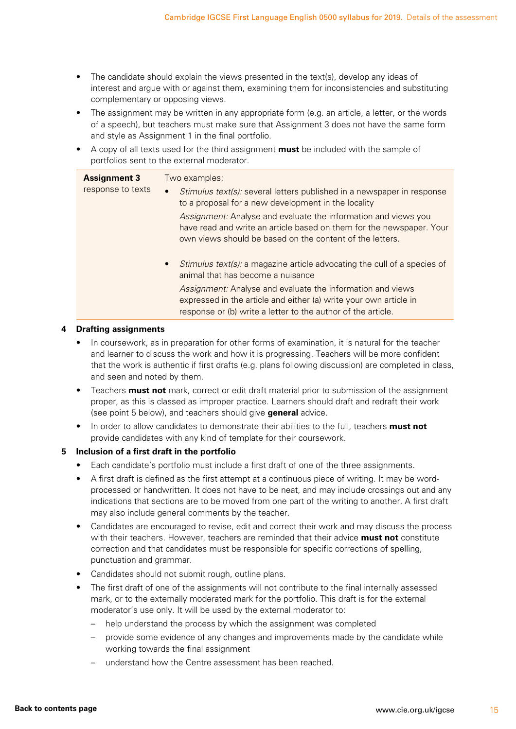- The candidate should explain the views presented in the text(s), develop any ideas of interest and argue with or against them, examining them for inconsistencies and substituting complementary or opposing views.
- The assignment may be written in any appropriate form (e.g. an article, a letter, or the words of a speech), but teachers must make sure that Assignment 3 does not have the same form and style as Assignment 1 in the final portfolio.
- A copy of all texts used for the third assignment **must** be included with the sample of portfolios sent to the external moderator.

| <b>Assignment 3</b> | Two examples:                                                                                                                                                                                      |  |  |
|---------------------|----------------------------------------------------------------------------------------------------------------------------------------------------------------------------------------------------|--|--|
| response to texts   | Stimulus text(s): several letters published in a newspaper in response<br>$\bullet$<br>to a proposal for a new development in the locality                                                         |  |  |
|                     | Assignment: Analyse and evaluate the information and views you<br>have read and write an article based on them for the newspaper. Your<br>own views should be based on the content of the letters. |  |  |
|                     | <i>Stimulus text(s):</i> a magazine article advocating the cull of a species of<br>$\bullet$<br>animal that has become a nuisance                                                                  |  |  |
|                     | Assignment: Analyse and evaluate the information and views<br>expressed in the article and either (a) write your own article in<br>response or (b) write a letter to the author of the article.    |  |  |

#### **4 Drafting assignments**

- In coursework, as in preparation for other forms of examination, it is natural for the teacher and learner to discuss the work and how it is progressing. Teachers will be more confident that the work is authentic if first drafts (e.g. plans following discussion) are completed in class, and seen and noted by them.
- Teachers **must not** mark, correct or edit draft material prior to submission of the assignment proper, as this is classed as improper practice. Learners should draft and redraft their work (see point 5 below), and teachers should give **general** advice.
- In order to allow candidates to demonstrate their abilities to the full, teachers **must not** provide candidates with any kind of template for their coursework.

#### **5 Inclusion of a first draft in the portfolio**

- Each candidate's portfolio must include a first draft of one of the three assignments.
- A first draft is defined as the first attempt at a continuous piece of writing. It may be wordprocessed or handwritten. It does not have to be neat, and may include crossings out and any indications that sections are to be moved from one part of the writing to another. A first draft may also include general comments by the teacher.
- Candidates are encouraged to revise, edit and correct their work and may discuss the process with their teachers. However, teachers are reminded that their advice **must not** constitute correction and that candidates must be responsible for specific corrections of spelling, punctuation and grammar.
- Candidates should not submit rough, outline plans.
- The first draft of one of the assignments will not contribute to the final internally assessed mark, or to the externally moderated mark for the portfolio. This draft is for the external moderator's use only. It will be used by the external moderator to:
	- help understand the process by which the assignment was completed
	- provide some evidence of any changes and improvements made by the candidate while working towards the final assignment
	- understand how the Centre assessment has been reached.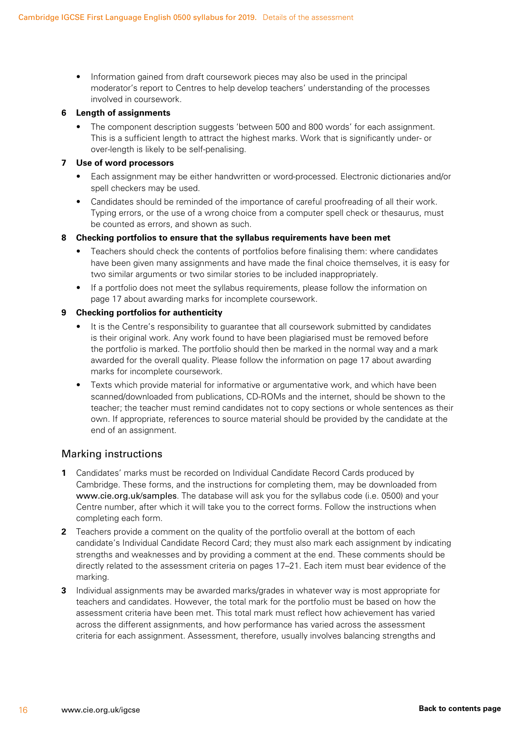• Information gained from draft coursework pieces may also be used in the principal moderator's report to Centres to help develop teachers' understanding of the processes involved in coursework.

#### **6 Length of assignments**

• The component description suggests 'between 500 and 800 words' for each assignment. This is a sufficient length to attract the highest marks. Work that is significantly under- or over-length is likely to be self-penalising.

#### **7 Use of word processors**

- Each assignment may be either handwritten or word-processed. Electronic dictionaries and/or spell checkers may be used.
- Candidates should be reminded of the importance of careful proofreading of all their work. Typing errors, or the use of a wrong choice from a computer spell check or thesaurus, must be counted as errors, and shown as such.

#### **8 Checking portfolios to ensure that the syllabus requirements have been met**

- Teachers should check the contents of portfolios before finalising them: where candidates have been given many assignments and have made the final choice themselves, it is easy for two similar arguments or two similar stories to be included inappropriately.
- If a portfolio does not meet the syllabus requirements, please follow the information on page 17 about awarding marks for incomplete coursework.

#### **9 Checking portfolios for authenticity**

- It is the Centre's responsibility to guarantee that all coursework submitted by candidates is their original work. Any work found to have been plagiarised must be removed before the portfolio is marked. The portfolio should then be marked in the normal way and a mark awarded for the overall quality. Please follow the information on page 17 about awarding marks for incomplete coursework.
- Texts which provide material for informative or argumentative work, and which have been scanned/downloaded from publications, CD-ROMs and the internet, should be shown to the teacher; the teacher must remind candidates not to copy sections or whole sentences as their own. If appropriate, references to source material should be provided by the candidate at the end of an assignment.

#### Marking instructions

- **1** Candidates' marks must be recorded on Individual Candidate Record Cards produced by Cambridge. These forms, and the instructions for completing them, may be downloaded from www.cie.org.uk/samples. The database will ask you for the syllabus code (i.e. 0500) and your Centre number, after which it will take you to the correct forms. Follow the instructions when completing each form.
- **2** Teachers provide a comment on the quality of the portfolio overall at the bottom of each candidate's Individual Candidate Record Card; they must also mark each assignment by indicating strengths and weaknesses and by providing a comment at the end. These comments should be directly related to the assessment criteria on pages 17–21. Each item must bear evidence of the marking.
- **3** Individual assignments may be awarded marks/grades in whatever way is most appropriate for teachers and candidates. However, the total mark for the portfolio must be based on how the assessment criteria have been met. This total mark must reflect how achievement has varied across the different assignments, and how performance has varied across the assessment criteria for each assignment. Assessment, therefore, usually involves balancing strengths and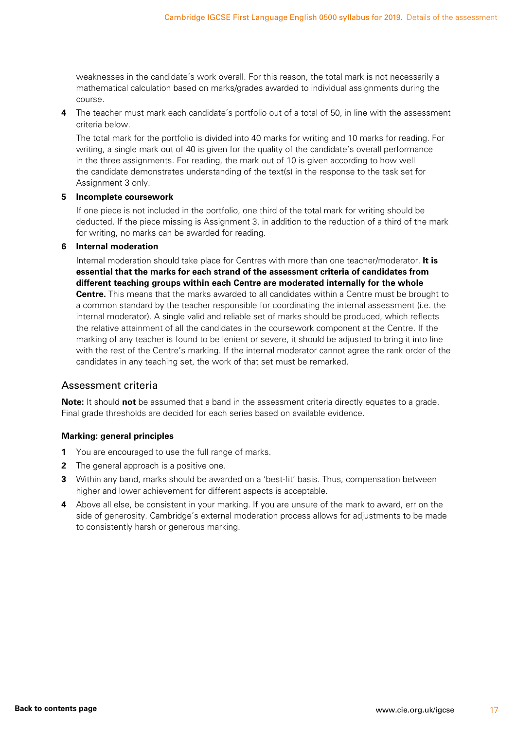weaknesses in the candidate's work overall. For this reason, the total mark is not necessarily a mathematical calculation based on marks/grades awarded to individual assignments during the course.

**4** The teacher must mark each candidate's portfolio out of a total of 50, in line with the assessment criteria below.

 The total mark for the portfolio is divided into 40 marks for writing and 10 marks for reading. For writing, a single mark out of 40 is given for the quality of the candidate's overall performance in the three assignments. For reading, the mark out of 10 is given according to how well the candidate demonstrates understanding of the text(s) in the response to the task set for Assignment 3 only.

#### **5 Incomplete coursework**

If one piece is not included in the portfolio, one third of the total mark for writing should be deducted. If the piece missing is Assignment 3, in addition to the reduction of a third of the mark for writing, no marks can be awarded for reading.

#### **6 Internal moderation**

Internal moderation should take place for Centres with more than one teacher/moderator. **It is essential that the marks for each strand of the assessment criteria of candidates from different teaching groups within each Centre are moderated internally for the whole Centre.** This means that the marks awarded to all candidates within a Centre must be brought to a common standard by the teacher responsible for coordinating the internal assessment (i.e. the internal moderator). A single valid and reliable set of marks should be produced, which reflects the relative attainment of all the candidates in the coursework component at the Centre. If the marking of any teacher is found to be lenient or severe, it should be adjusted to bring it into line with the rest of the Centre's marking. If the internal moderator cannot agree the rank order of the candidates in any teaching set, the work of that set must be remarked.

#### Assessment criteria

**Note:** It should **not** be assumed that a band in the assessment criteria directly equates to a grade. Final grade thresholds are decided for each series based on available evidence.

#### **Marking: general principles**

- **1** You are encouraged to use the full range of marks.
- **2** The general approach is a positive one.
- **3** Within any band, marks should be awarded on a 'best-fit' basis. Thus, compensation between higher and lower achievement for different aspects is acceptable.
- **4** Above all else, be consistent in your marking. If you are unsure of the mark to award, err on the side of generosity. Cambridge's external moderation process allows for adjustments to be made to consistently harsh or generous marking.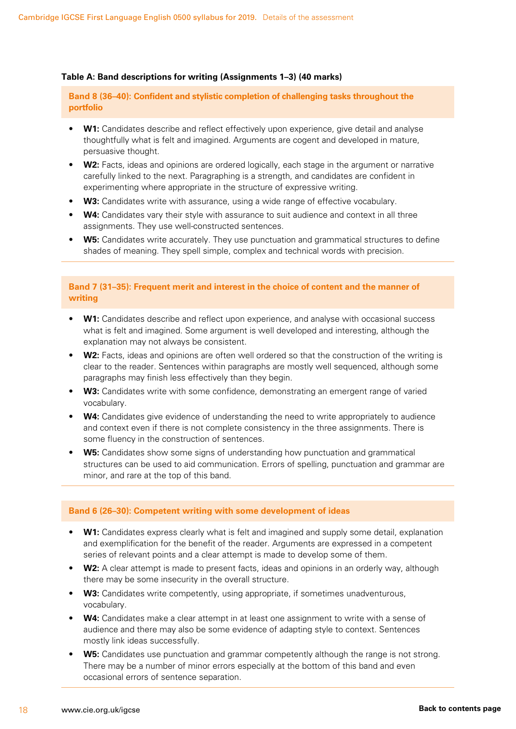#### **Table A: Band descriptions for writing (Assignments 1–3) (40 marks)**

**Band 8 (36–40): Confident and stylistic completion of challenging tasks throughout the portfolio**

- **W1:** Candidates describe and reflect effectively upon experience, give detail and analyse thoughtfully what is felt and imagined. Arguments are cogent and developed in mature, persuasive thought.
- **W2:** Facts, ideas and opinions are ordered logically, each stage in the argument or narrative carefully linked to the next. Paragraphing is a strength, and candidates are confident in experimenting where appropriate in the structure of expressive writing.
- **W3:** Candidates write with assurance, using a wide range of effective vocabulary.
- **W4:** Candidates vary their style with assurance to suit audience and context in all three assignments. They use well-constructed sentences.
- **W5:** Candidates write accurately. They use punctuation and grammatical structures to define shades of meaning. They spell simple, complex and technical words with precision.

#### **Band 7 (31–35): Frequent merit and interest in the choice of content and the manner of writing**

- **W1:** Candidates describe and reflect upon experience, and analyse with occasional success what is felt and imagined. Some argument is well developed and interesting, although the explanation may not always be consistent.
- **W2:** Facts, ideas and opinions are often well ordered so that the construction of the writing is clear to the reader. Sentences within paragraphs are mostly well sequenced, although some paragraphs may finish less effectively than they begin.
- **W3:** Candidates write with some confidence, demonstrating an emergent range of varied vocabulary.
- **W4:** Candidates give evidence of understanding the need to write appropriately to audience and context even if there is not complete consistency in the three assignments. There is some fluency in the construction of sentences.
- **W5:** Candidates show some signs of understanding how punctuation and grammatical structures can be used to aid communication. Errors of spelling, punctuation and grammar are minor, and rare at the top of this band.

#### **Band 6 (26–30): Competent writing with some development of ideas**

- **W1:** Candidates express clearly what is felt and imagined and supply some detail, explanation and exemplification for the benefit of the reader. Arguments are expressed in a competent series of relevant points and a clear attempt is made to develop some of them.
- **W2:** A clear attempt is made to present facts, ideas and opinions in an orderly way, although there may be some insecurity in the overall structure.
- **W3:** Candidates write competently, using appropriate, if sometimes unadventurous, vocabulary.
- **W4:** Candidates make a clear attempt in at least one assignment to write with a sense of audience and there may also be some evidence of adapting style to context. Sentences mostly link ideas successfully.
- **W5:** Candidates use punctuation and grammar competently although the range is not strong. There may be a number of minor errors especially at the bottom of this band and even occasional errors of sentence separation.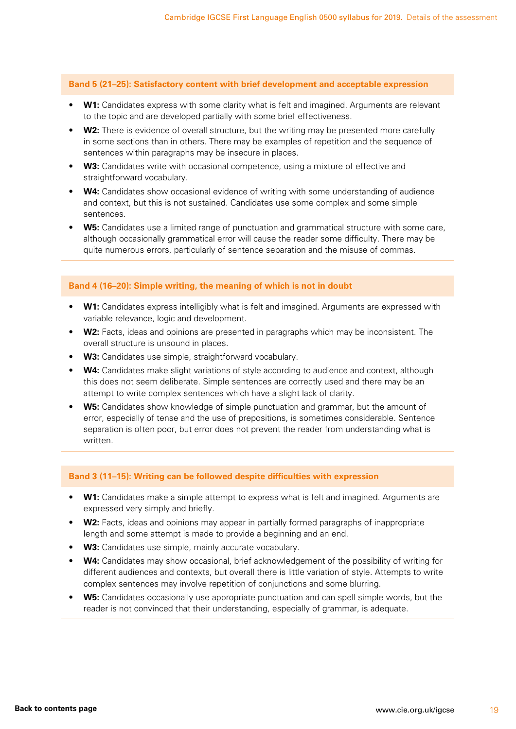**Band 5 (21–25): Satisfactory content with brief development and acceptable expression**

- **W1:** Candidates express with some clarity what is felt and imagined. Arguments are relevant to the topic and are developed partially with some brief effectiveness.
- **W2:** There is evidence of overall structure, but the writing may be presented more carefully in some sections than in others. There may be examples of repetition and the sequence of sentences within paragraphs may be insecure in places.
- **W3:** Candidates write with occasional competence, using a mixture of effective and straightforward vocabulary.
- **W4:** Candidates show occasional evidence of writing with some understanding of audience and context, but this is not sustained. Candidates use some complex and some simple sentences.
- **W5:** Candidates use a limited range of punctuation and grammatical structure with some care, although occasionally grammatical error will cause the reader some difficulty. There may be quite numerous errors, particularly of sentence separation and the misuse of commas.

#### **Band 4 (16–20): Simple writing, the meaning of which is not in doubt**

- **W1:** Candidates express intelligibly what is felt and imagined. Arguments are expressed with variable relevance, logic and development.
- **W2:** Facts, ideas and opinions are presented in paragraphs which may be inconsistent. The overall structure is unsound in places.
- **W3:** Candidates use simple, straightforward vocabulary.
- **W4:** Candidates make slight variations of style according to audience and context, although this does not seem deliberate. Simple sentences are correctly used and there may be an attempt to write complex sentences which have a slight lack of clarity.
- **W5:** Candidates show knowledge of simple punctuation and grammar, but the amount of error, especially of tense and the use of prepositions, is sometimes considerable. Sentence separation is often poor, but error does not prevent the reader from understanding what is written.

#### **Band 3 (11–15): Writing can be followed despite difficulties with expression**

- **W1:** Candidates make a simple attempt to express what is felt and imagined. Arguments are expressed very simply and briefly.
- **W2:** Facts, ideas and opinions may appear in partially formed paragraphs of inappropriate length and some attempt is made to provide a beginning and an end.
- **W3:** Candidates use simple, mainly accurate vocabulary.
- **W4:** Candidates may show occasional, brief acknowledgement of the possibility of writing for different audiences and contexts, but overall there is little variation of style. Attempts to write complex sentences may involve repetition of conjunctions and some blurring.
- **W5:** Candidates occasionally use appropriate punctuation and can spell simple words, but the reader is not convinced that their understanding, especially of grammar, is adequate.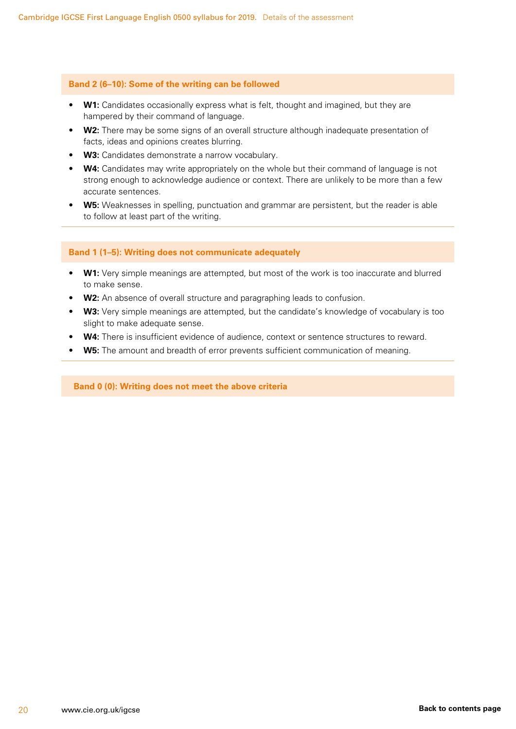#### **Band 2 (6–10): Some of the writing can be followed**

- **W1:** Candidates occasionally express what is felt, thought and imagined, but they are hampered by their command of language.
- **W2:** There may be some signs of an overall structure although inadequate presentation of facts, ideas and opinions creates blurring.
- **W3:** Candidates demonstrate a narrow vocabulary.
- W4: Candidates may write appropriately on the whole but their command of language is not strong enough to acknowledge audience or context. There are unlikely to be more than a few accurate sentences.
- **W5:** Weaknesses in spelling, punctuation and grammar are persistent, but the reader is able to follow at least part of the writing.

#### **Band 1 (1–5): Writing does not communicate adequately**

- **W1:** Very simple meanings are attempted, but most of the work is too inaccurate and blurred to make sense.
- **W2:** An absence of overall structure and paragraphing leads to confusion.
- **W3:** Very simple meanings are attempted, but the candidate's knowledge of vocabulary is too slight to make adequate sense.
- **W4:** There is insufficient evidence of audience, context or sentence structures to reward.
- **W5:** The amount and breadth of error prevents sufficient communication of meaning.

**Band 0 (0): Writing does not meet the above criteria**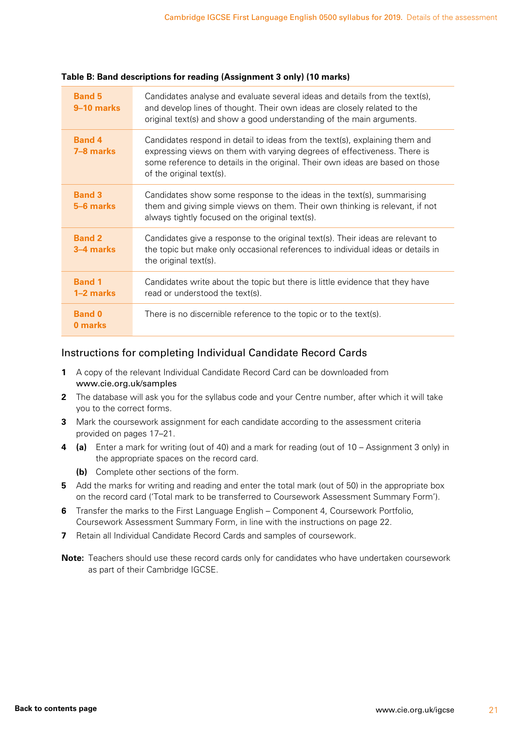| <b>Band 5</b><br>9–10 marks | Candidates analyse and evaluate several ideas and details from the text(s),<br>and develop lines of thought. Their own ideas are closely related to the<br>original text(s) and show a good understanding of the main arguments.                                     |
|-----------------------------|----------------------------------------------------------------------------------------------------------------------------------------------------------------------------------------------------------------------------------------------------------------------|
| <b>Band 4</b><br>7-8 marks  | Candidates respond in detail to ideas from the text(s), explaining them and<br>expressing views on them with varying degrees of effectiveness. There is<br>some reference to details in the original. Their own ideas are based on those<br>of the original text(s). |
| <b>Band 3</b><br>5-6 marks  | Candidates show some response to the ideas in the text(s), summarising<br>them and giving simple views on them. Their own thinking is relevant, if not<br>always tightly focused on the original text(s).                                                            |
| <b>Band 2</b><br>3-4 marks  | Candidates give a response to the original text(s). Their ideas are relevant to<br>the topic but make only occasional references to individual ideas or details in<br>the original text(s).                                                                          |
| <b>Band 1</b><br>1-2 marks  | Candidates write about the topic but there is little evidence that they have<br>read or understood the text(s).                                                                                                                                                      |
| <b>Band 0</b><br>0 marks    | There is no discernible reference to the topic or to the text(s).                                                                                                                                                                                                    |

#### **Table B: Band descriptions for reading (Assignment 3 only) (10 marks)**

#### Instructions for completing Individual Candidate Record Cards

- **1** A copy of the relevant Individual Candidate Record Card can be downloaded from www.cie.org.uk/samples
- **2** The database will ask you for the syllabus code and your Centre number, after which it will take you to the correct forms.
- **3** Mark the coursework assignment for each candidate according to the assessment criteria provided on pages 17–21.
- **4 (a)** Enter a mark for writing (out of 40) and a mark for reading (out of 10 Assignment 3 only) in the appropriate spaces on the record card.
	- **(b)** Complete other sections of the form.
- **5** Add the marks for writing and reading and enter the total mark (out of 50) in the appropriate box on the record card ('Total mark to be transferred to Coursework Assessment Summary Form').
- **6** Transfer the marks to the First Language English Component 4, Coursework Portfolio, Coursework Assessment Summary Form, in line with the instructions on page 22.
- **7** Retain all Individual Candidate Record Cards and samples of coursework.
- **Note:** Teachers should use these record cards only for candidates who have undertaken coursework as part of their Cambridge IGCSE.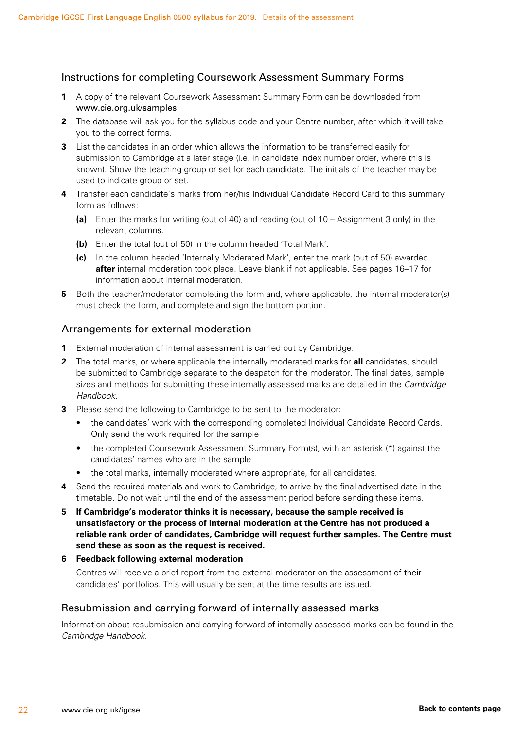#### Instructions for completing Coursework Assessment Summary Forms

- **1** A copy of the relevant Coursework Assessment Summary Form can be downloaded from www.cie.org.uk/samples
- **2** The database will ask you for the syllabus code and your Centre number, after which it will take you to the correct forms.
- **3** List the candidates in an order which allows the information to be transferred easily for submission to Cambridge at a later stage (i.e. in candidate index number order, where this is known). Show the teaching group or set for each candidate. The initials of the teacher may be used to indicate group or set.
- **4** Transfer each candidate's marks from her/his Individual Candidate Record Card to this summary form as follows:
	- **(a)** Enter the marks for writing (out of 40) and reading (out of 10 Assignment 3 only) in the relevant columns.
	- **(b)** Enter the total (out of 50) in the column headed 'Total Mark'.
	- **(c)** In the column headed 'Internally Moderated Mark', enter the mark (out of 50) awarded **after** internal moderation took place. Leave blank if not applicable. See pages 16–17 for information about internal moderation.
- **5** Both the teacher/moderator completing the form and, where applicable, the internal moderator(s) must check the form, and complete and sign the bottom portion.

#### Arrangements for external moderation

- **1** External moderation of internal assessment is carried out by Cambridge.
- **2** The total marks, or where applicable the internally moderated marks for **all** candidates, should be submitted to Cambridge separate to the despatch for the moderator. The final dates, sample sizes and methods for submitting these internally assessed marks are detailed in the *Cambridge Handbook*.
- **3** Please send the following to Cambridge to be sent to the moderator:
	- the candidates' work with the corresponding completed Individual Candidate Record Cards. Only send the work required for the sample
	- the completed Coursework Assessment Summary Form(s), with an asterisk (\*) against the candidates' names who are in the sample
	- the total marks, internally moderated where appropriate, for all candidates.
- **4** Send the required materials and work to Cambridge, to arrive by the final advertised date in the timetable. Do not wait until the end of the assessment period before sending these items.
- **5 If Cambridge's moderator thinks it is necessary, because the sample received is unsatisfactory or the process of internal moderation at the Centre has not produced a reliable rank order of candidates, Cambridge will request further samples. The Centre must send these as soon as the request is received.**

#### **6 Feedback following external moderation**

Centres will receive a brief report from the external moderator on the assessment of their candidates' portfolios. This will usually be sent at the time results are issued.

#### Resubmission and carrying forward of internally assessed marks

Information about resubmission and carrying forward of internally assessed marks can be found in the *Cambridge Handbook*.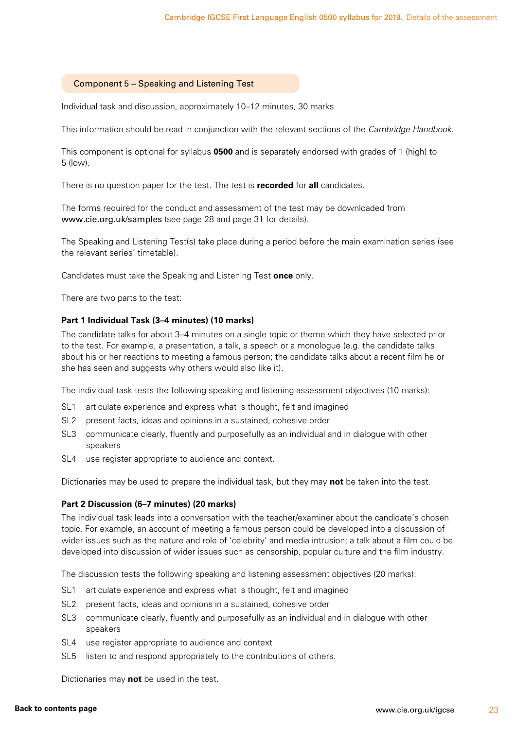#### <span id="page-24-0"></span>Component 5 – Speaking and Listening Test

Individual task and discussion, approximately 10–12 minutes, 30 marks

This information should be read in conjunction with the relevant sections of the *Cambridge Handbook*.

This component is optional for syllabus **0500** and is separately endorsed with grades of 1 (high) to 5 (low).

There is no question paper for the test. The test is **recorded** for **all** candidates.

The forms required for the conduct and assessment of the test may be downloaded from www.cie.org.uk/samples (see page 28 and page 31 for details).

The Speaking and Listening Test(s) take place during a period before the main examination series (see the relevant series' timetable).

Candidates must take the Speaking and Listening Test **once** only.

There are two parts to the test:

#### **Part 1 Individual Task (3–4 minutes) (10 marks)**

The candidate talks for about 3–4 minutes on a single topic or theme which they have selected prior to the test. For example, a presentation, a talk, a speech or a monologue (e.g. the candidate talks about his or her reactions to meeting a famous person; the candidate talks about a recent film he or she has seen and suggests why others would also like it).

The individual task tests the following speaking and listening assessment objectives (10 marks):

- SL1 articulate experience and express what is thought, felt and imagined
- SL2 present facts, ideas and opinions in a sustained, cohesive order
- SL3 communicate clearly, fluently and purposefully as an individual and in dialogue with other speakers
- SL4 use register appropriate to audience and context.

Dictionaries may be used to prepare the individual task, but they may **not** be taken into the test.

#### **Part 2 Discussion (6–7 minutes) (20 marks)**

The individual task leads into a conversation with the teacher/examiner about the candidate's chosen topic. For example, an account of meeting a famous person could be developed into a discussion of wider issues such as the nature and role of 'celebrity' and media intrusion; a talk about a film could be developed into discussion of wider issues such as censorship, popular culture and the film industry.

The discussion tests the following speaking and listening assessment objectives (20 marks):

- SL1 articulate experience and express what is thought, felt and imagined
- SL2 present facts, ideas and opinions in a sustained, cohesive order
- SL3 communicate clearly, fluently and purposefully as an individual and in dialogue with other speakers
- SL4 use register appropriate to audience and context
- SL5 listen to and respond appropriately to the contributions of others.

Dictionaries may **not** be used in the test.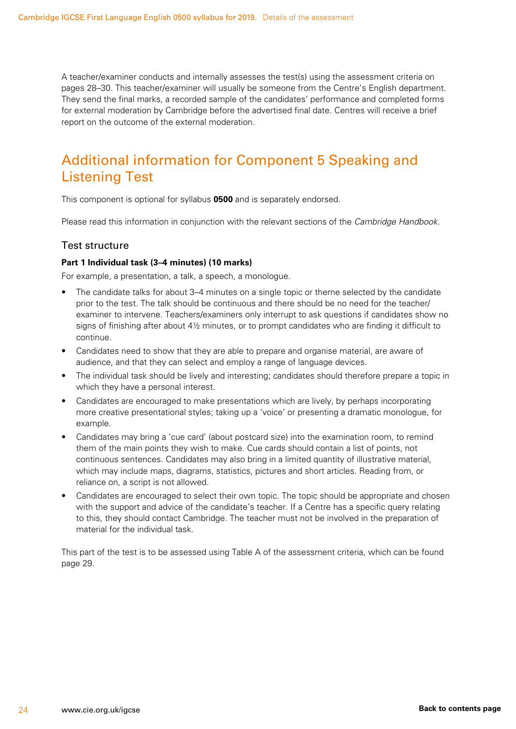<span id="page-25-0"></span>A teacher/examiner conducts and internally assesses the test(s) using the assessment criteria on pages 28–30. This teacher/examiner will usually be someone from the Centre's English department. They send the final marks, a recorded sample of the candidates' performance and completed forms for external moderation by Cambridge before the advertised final date. Centres will receive a brief report on the outcome of the external moderation.

### Additional information for Component 5 Speaking and Listening Test

This component is optional for syllabus **0500** and is separately endorsed.

Please read this information in conjunction with the relevant sections of the *Cambridge Handbook*.

#### Test structure

#### **Part 1 Individual task (3–4 minutes) (10 marks)**

For example, a presentation, a talk, a speech, a monologue.

- The candidate talks for about 3–4 minutes on a single topic or theme selected by the candidate prior to the test. The talk should be continuous and there should be no need for the teacher/ examiner to intervene. Teachers/examiners only interrupt to ask questions if candidates show no signs of finishing after about 4½ minutes, or to prompt candidates who are finding it difficult to continue.
- Candidates need to show that they are able to prepare and organise material, are aware of audience, and that they can select and employ a range of language devices.
- The individual task should be lively and interesting; candidates should therefore prepare a topic in which they have a personal interest.
- Candidates are encouraged to make presentations which are lively, by perhaps incorporating more creative presentational styles; taking up a 'voice' or presenting a dramatic monologue, for example.
- Candidates may bring a 'cue card' (about postcard size) into the examination room, to remind them of the main points they wish to make. Cue cards should contain a list of points, not continuous sentences. Candidates may also bring in a limited quantity of illustrative material, which may include maps, diagrams, statistics, pictures and short articles. Reading from, or reliance on, a script is not allowed.
- Candidates are encouraged to select their own topic. The topic should be appropriate and chosen with the support and advice of the candidate's teacher. If a Centre has a specific query relating to this, they should contact Cambridge. The teacher must not be involved in the preparation of material for the individual task.

This part of the test is to be assessed using Table A of the assessment criteria, which can be found page 29.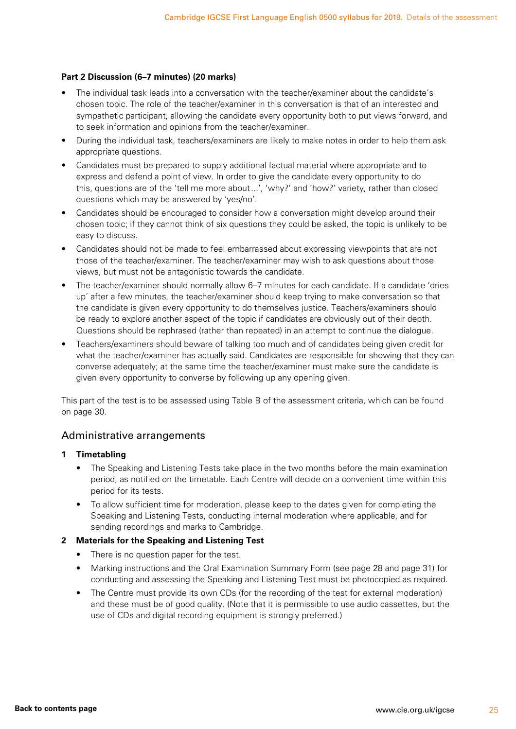#### **Part 2 Discussion (6–7 minutes) (20 marks)**

- The individual task leads into a conversation with the teacher/examiner about the candidate's chosen topic. The role of the teacher/examiner in this conversation is that of an interested and sympathetic participant, allowing the candidate every opportunity both to put views forward, and to seek information and opinions from the teacher/examiner.
- During the individual task, teachers/examiners are likely to make notes in order to help them ask appropriate questions.
- Candidates must be prepared to supply additional factual material where appropriate and to express and defend a point of view. In order to give the candidate every opportunity to do this, questions are of the 'tell me more about...', 'why?' and 'how?' variety, rather than closed questions which may be answered by 'yes/no'.
- Candidates should be encouraged to consider how a conversation might develop around their chosen topic; if they cannot think of six questions they could be asked, the topic is unlikely to be easy to discuss.
- Candidates should not be made to feel embarrassed about expressing viewpoints that are not those of the teacher/examiner. The teacher/examiner may wish to ask questions about those views, but must not be antagonistic towards the candidate.
- The teacher/examiner should normally allow 6–7 minutes for each candidate. If a candidate 'dries up' after a few minutes, the teacher/examiner should keep trying to make conversation so that the candidate is given every opportunity to do themselves justice. Teachers/examiners should be ready to explore another aspect of the topic if candidates are obviously out of their depth. Questions should be rephrased (rather than repeated) in an attempt to continue the dialogue.
- Teachers/examiners should beware of talking too much and of candidates being given credit for what the teacher/examiner has actually said. Candidates are responsible for showing that they can converse adequately; at the same time the teacher/examiner must make sure the candidate is given every opportunity to converse by following up any opening given.

This part of the test is to be assessed using Table B of the assessment criteria, which can be found on page 30.

#### Administrative arrangements

#### **1 Timetabling**

- The Speaking and Listening Tests take place in the two months before the main examination period, as notified on the timetable. Each Centre will decide on a convenient time within this period for its tests.
- To allow sufficient time for moderation, please keep to the dates given for completing the Speaking and Listening Tests, conducting internal moderation where applicable, and for sending recordings and marks to Cambridge.

#### **2 Materials for the Speaking and Listening Test**

- There is no question paper for the test.
- Marking instructions and the Oral Examination Summary Form (see page 28 and page 31) for conducting and assessing the Speaking and Listening Test must be photocopied as required.
- The Centre must provide its own CDs (for the recording of the test for external moderation) and these must be of good quality. (Note that it is permissible to use audio cassettes, but the use of CDs and digital recording equipment is strongly preferred.)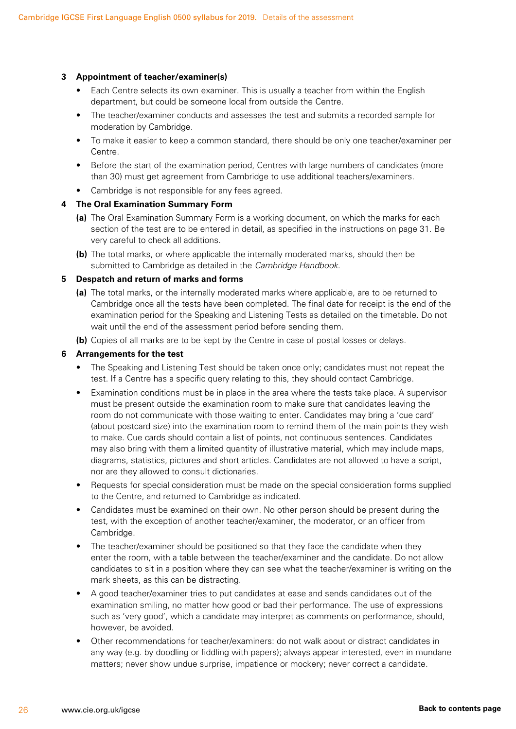#### **3 Appointment of teacher/examiner(s)**

- Each Centre selects its own examiner. This is usually a teacher from within the English department, but could be someone local from outside the Centre.
- The teacher/examiner conducts and assesses the test and submits a recorded sample for moderation by Cambridge.
- To make it easier to keep a common standard, there should be only one teacher/examiner per Centre.
- Before the start of the examination period, Centres with large numbers of candidates (more than 30) must get agreement from Cambridge to use additional teachers/examiners.
- Cambridge is not responsible for any fees agreed.

#### **4 The Oral Examination Summary Form**

- **(a)** The Oral Examination Summary Form is a working document, on which the marks for each section of the test are to be entered in detail, as specified in the instructions on page 31. Be very careful to check all additions.
- **(b)** The total marks, or where applicable the internally moderated marks, should then be submitted to Cambridge as detailed in the *Cambridge Handbook*.

#### **5 Despatch and return of marks and forms**

- **(a)** The total marks, or the internally moderated marks where applicable, are to be returned to Cambridge once all the tests have been completed. The final date for receipt is the end of the examination period for the Speaking and Listening Tests as detailed on the timetable. Do not wait until the end of the assessment period before sending them.
- **(b)** Copies of all marks are to be kept by the Centre in case of postal losses or delays.

#### **6 Arrangements for the test**

- The Speaking and Listening Test should be taken once only; candidates must not repeat the test. If a Centre has a specific query relating to this, they should contact Cambridge.
- Examination conditions must be in place in the area where the tests take place. A supervisor must be present outside the examination room to make sure that candidates leaving the room do not communicate with those waiting to enter. Candidates may bring a 'cue card' (about postcard size) into the examination room to remind them of the main points they wish to make. Cue cards should contain a list of points, not continuous sentences. Candidates may also bring with them a limited quantity of illustrative material, which may include maps, diagrams, statistics, pictures and short articles. Candidates are not allowed to have a script, nor are they allowed to consult dictionaries.
- Requests for special consideration must be made on the special consideration forms supplied to the Centre, and returned to Cambridge as indicated.
- Candidates must be examined on their own. No other person should be present during the test, with the exception of another teacher/examiner, the moderator, or an officer from Cambridge.
- The teacher/examiner should be positioned so that they face the candidate when they enter the room, with a table between the teacher/examiner and the candidate. Do not allow candidates to sit in a position where they can see what the teacher/examiner is writing on the mark sheets, as this can be distracting.
- A good teacher/examiner tries to put candidates at ease and sends candidates out of the examination smiling, no matter how good or bad their performance. The use of expressions such as 'very good', which a candidate may interpret as comments on performance, should, however, be avoided.
- Other recommendations for teacher/examiners: do not walk about or distract candidates in any way (e.g. by doodling or fiddling with papers); always appear interested, even in mundane matters; never show undue surprise, impatience or mockery; never correct a candidate.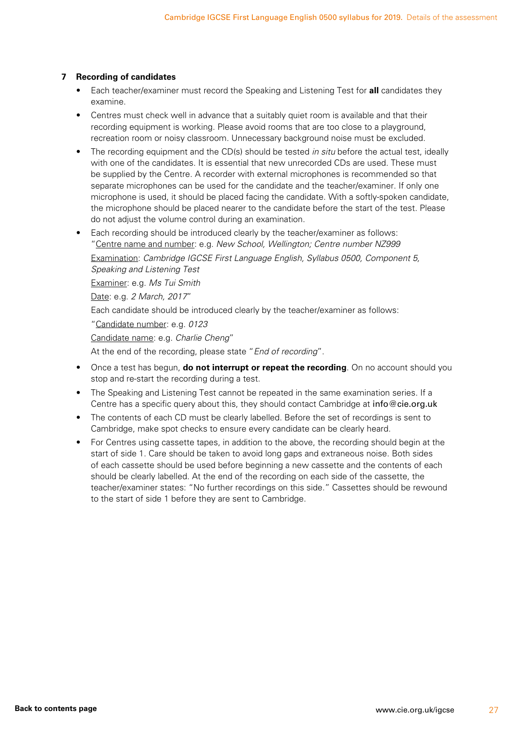#### **7 Recording of candidates**

- Each teacher/examiner must record the Speaking and Listening Test for **all** candidates they examine.
- Centres must check well in advance that a suitably quiet room is available and that their recording equipment is working. Please avoid rooms that are too close to a playground, recreation room or noisy classroom. Unnecessary background noise must be excluded.
- The recording equipment and the CD(s) should be tested *in situ* before the actual test, ideally with one of the candidates. It is essential that new unrecorded CDs are used. These must be supplied by the Centre. A recorder with external microphones is recommended so that separate microphones can be used for the candidate and the teacher/examiner. If only one microphone is used, it should be placed facing the candidate. With a softly-spoken candidate, the microphone should be placed nearer to the candidate before the start of the test. Please do not adjust the volume control during an examination.
- Each recording should be introduced clearly by the teacher/examiner as follows: "Centre name and number: e.g. *New School, Wellington; Centre number NZ999*

Examination: *Cambridge IGCSE First Language English, Syllabus 0500, Component 5, Speaking and Listening Test*

Examiner: e.g. *Ms Tui Smith*

Date: e.g. *2 March, 2017*"

Each candidate should be introduced clearly by the teacher/examiner as follows:

"Candidate number: e.g. *0123*

Candidate name: e.g. *Charlie Cheng*"

At the end of the recording, please state "*End of recording*".

- Once a test has begun, **do not interrupt or repeat the recording**. On no account should you stop and re-start the recording during a test.
- The Speaking and Listening Test cannot be repeated in the same examination series. If a Centre has a specific query about this, they should contact Cambridge at info@cie.org.uk
- The contents of each CD must be clearly labelled. Before the set of recordings is sent to Cambridge, make spot checks to ensure every candidate can be clearly heard.
- For Centres using cassette tapes, in addition to the above, the recording should begin at the start of side 1. Care should be taken to avoid long gaps and extraneous noise. Both sides of each cassette should be used before beginning a new cassette and the contents of each should be clearly labelled. At the end of the recording on each side of the cassette, the teacher/examiner states: "No further recordings on this side." Cassettes should be rewound to the start of side 1 before they are sent to Cambridge.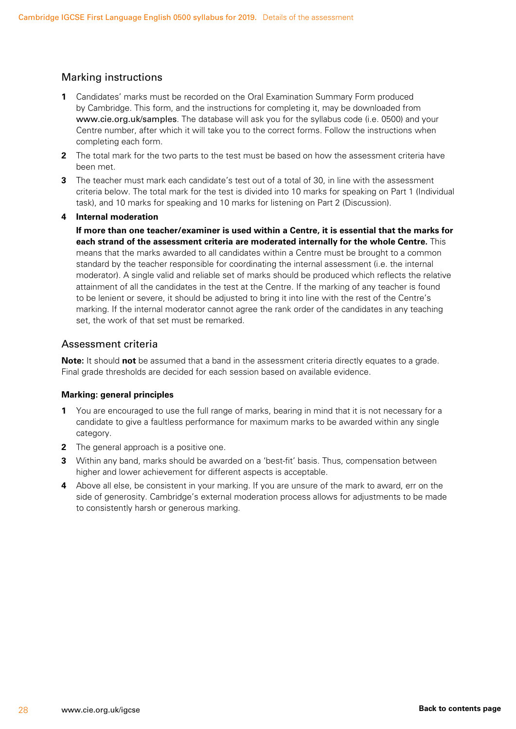#### Marking instructions

- **1** Candidates' marks must be recorded on the Oral Examination Summary Form produced by Cambridge. This form, and the instructions for completing it, may be downloaded from www.cie.org.uk/samples. The database will ask you for the syllabus code (i.e. 0500) and your Centre number, after which it will take you to the correct forms. Follow the instructions when completing each form.
- **2** The total mark for the two parts to the test must be based on how the assessment criteria have been met.
- **3** The teacher must mark each candidate's test out of a total of 30, in line with the assessment criteria below. The total mark for the test is divided into 10 marks for speaking on Part 1 (Individual task), and 10 marks for speaking and 10 marks for listening on Part 2 (Discussion).

#### **4 Internal moderation**

**If more than one teacher/examiner is used within a Centre, it is essential that the marks for each strand of the assessment criteria are moderated internally for the whole Centre.** This means that the marks awarded to all candidates within a Centre must be brought to a common standard by the teacher responsible for coordinating the internal assessment (i.e. the internal moderator). A single valid and reliable set of marks should be produced which reflects the relative attainment of all the candidates in the test at the Centre. If the marking of any teacher is found to be lenient or severe, it should be adjusted to bring it into line with the rest of the Centre's marking. If the internal moderator cannot agree the rank order of the candidates in any teaching set, the work of that set must be remarked.

#### Assessment criteria

**Note:** It should **not** be assumed that a band in the assessment criteria directly equates to a grade. Final grade thresholds are decided for each session based on available evidence.

#### **Marking: general principles**

- **1** You are encouraged to use the full range of marks, bearing in mind that it is not necessary for a candidate to give a faultless performance for maximum marks to be awarded within any single category.
- **2** The general approach is a positive one.
- **3** Within any band, marks should be awarded on a 'best-fit' basis. Thus, compensation between higher and lower achievement for different aspects is acceptable.
- **4** Above all else, be consistent in your marking. If you are unsure of the mark to award, err on the side of generosity. Cambridge's external moderation process allows for adjustments to be made to consistently harsh or generous marking.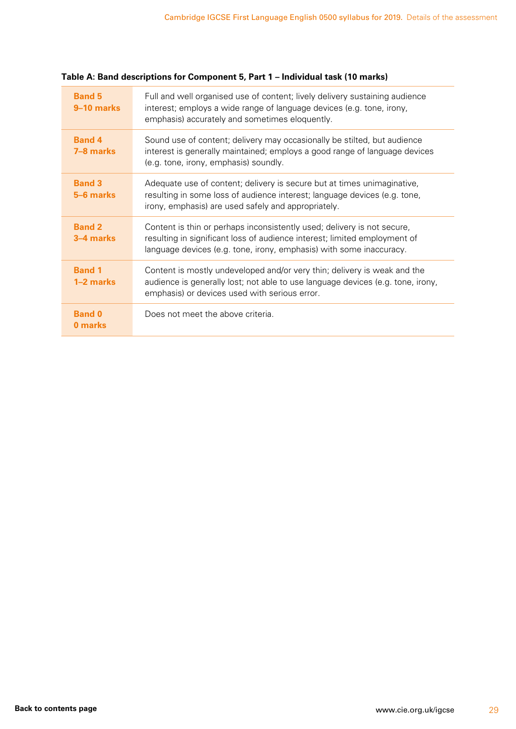| <b>Band 5</b><br>9–10 marks | Full and well organised use of content; lively delivery sustaining audience<br>interest; employs a wide range of language devices (e.g. tone, irony,<br>emphasis) accurately and sometimes eloquently.                      |
|-----------------------------|-----------------------------------------------------------------------------------------------------------------------------------------------------------------------------------------------------------------------------|
| <b>Band 4</b><br>7-8 marks  | Sound use of content; delivery may occasionally be stilted, but audience<br>interest is generally maintained; employs a good range of language devices<br>(e.g. tone, irony, emphasis) soundly.                             |
| <b>Band 3</b><br>5-6 marks  | Adequate use of content; delivery is secure but at times unimaginative,<br>resulting in some loss of audience interest; language devices (e.g. tone,<br>irony, emphasis) are used safely and appropriately.                 |
| <b>Band 2</b><br>3–4 marks  | Content is thin or perhaps inconsistently used; delivery is not secure,<br>resulting in significant loss of audience interest; limited employment of<br>language devices (e.g. tone, irony, emphasis) with some inaccuracy. |
| <b>Band 1</b><br>1–2 marks  | Content is mostly undeveloped and/or very thin; delivery is weak and the<br>audience is generally lost; not able to use language devices (e.g. tone, irony,<br>emphasis) or devices used with serious error.                |
| <b>Band 0</b><br>0 marks    | Does not meet the above criteria.                                                                                                                                                                                           |

#### **Table A: Band descriptions for Component 5, Part 1 – Individual task (10 marks)**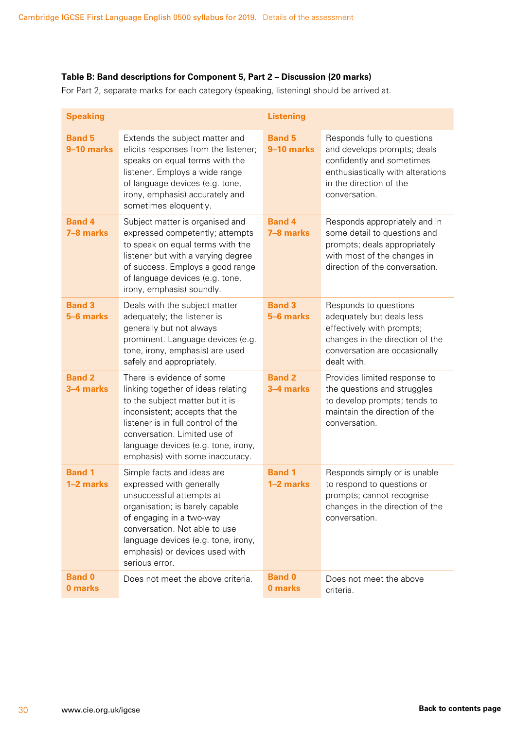#### **Table B: Band descriptions for Component 5, Part 2 – Discussion (20 marks)**

For Part 2, separate marks for each category (speaking, listening) should be arrived at.

| <b>Speaking</b>             |                                                                                                                                                                                                                                                                                      | <b>Listening</b>            |                                                                                                                                                                          |
|-----------------------------|--------------------------------------------------------------------------------------------------------------------------------------------------------------------------------------------------------------------------------------------------------------------------------------|-----------------------------|--------------------------------------------------------------------------------------------------------------------------------------------------------------------------|
| <b>Band 5</b><br>9-10 marks | Extends the subject matter and<br>elicits responses from the listener;<br>speaks on equal terms with the<br>listener. Employs a wide range<br>of language devices (e.g. tone,<br>irony, emphasis) accurately and<br>sometimes eloquently.                                            | <b>Band 5</b><br>9-10 marks | Responds fully to questions<br>and develops prompts; deals<br>confidently and sometimes<br>enthusiastically with alterations<br>in the direction of the<br>conversation. |
| <b>Band 4</b><br>7-8 marks  | Subject matter is organised and<br>expressed competently; attempts<br>to speak on equal terms with the<br>listener but with a varying degree<br>of success. Employs a good range<br>of language devices (e.g. tone,<br>irony, emphasis) soundly.                                     | <b>Band 4</b><br>7-8 marks  | Responds appropriately and in<br>some detail to questions and<br>prompts; deals appropriately<br>with most of the changes in<br>direction of the conversation.           |
| <b>Band 3</b><br>5-6 marks  | Deals with the subject matter<br>adequately; the listener is<br>generally but not always<br>prominent. Language devices (e.g.<br>tone, irony, emphasis) are used<br>safely and appropriately.                                                                                        | <b>Band 3</b><br>5-6 marks  | Responds to questions<br>adequately but deals less<br>effectively with prompts;<br>changes in the direction of the<br>conversation are occasionally<br>dealt with.       |
| <b>Band 2</b><br>3-4 marks  | There is evidence of some<br>linking together of ideas relating<br>to the subject matter but it is<br>inconsistent; accepts that the<br>listener is in full control of the<br>conversation. Limited use of<br>language devices (e.g. tone, irony,<br>emphasis) with some inaccuracy. | <b>Band 2</b><br>3-4 marks  | Provides limited response to<br>the questions and struggles<br>to develop prompts; tends to<br>maintain the direction of the<br>conversation.                            |
| <b>Band 1</b><br>1-2 marks  | Simple facts and ideas are<br>expressed with generally<br>unsuccessful attempts at<br>organisation; is barely capable<br>of engaging in a two-way<br>conversation. Not able to use<br>language devices (e.g. tone, irony,<br>emphasis) or devices used with<br>serious error.        | <b>Band 1</b><br>1-2 marks  | Responds simply or is unable<br>to respond to questions or<br>prompts; cannot recognise<br>changes in the direction of the<br>conversation.                              |
| <b>Band 0</b><br>0 marks    | Does not meet the above criteria.                                                                                                                                                                                                                                                    | <b>Band 0</b><br>0 marks    | Does not meet the above<br>criteria.                                                                                                                                     |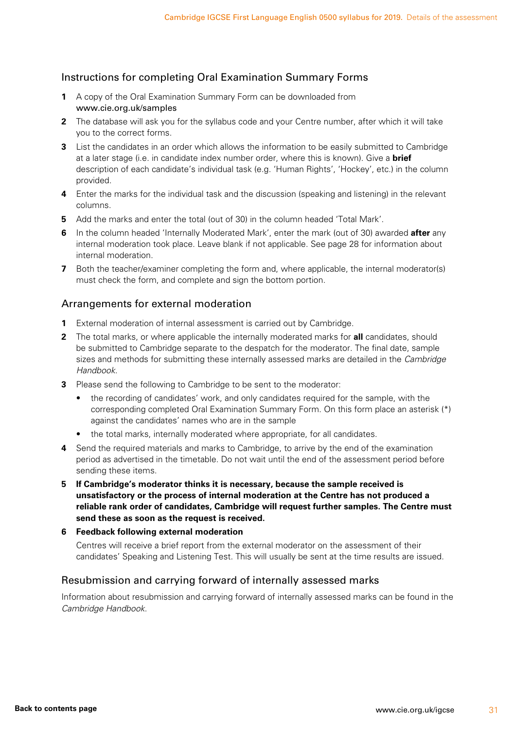#### Instructions for completing Oral Examination Summary Forms

- **1** A copy of the Oral Examination Summary Form can be downloaded from www.cie.org.uk/samples
- **2** The database will ask you for the syllabus code and your Centre number, after which it will take you to the correct forms.
- **3** List the candidates in an order which allows the information to be easily submitted to Cambridge at a later stage (i.e. in candidate index number order, where this is known). Give a **brief** description of each candidate's individual task (e.g. 'Human Rights', 'Hockey', etc.) in the column provided.
- **4** Enter the marks for the individual task and the discussion (speaking and listening) in the relevant columns.
- **5** Add the marks and enter the total (out of 30) in the column headed 'Total Mark'.
- **6** In the column headed 'Internally Moderated Mark', enter the mark (out of 30) awarded **after** any internal moderation took place. Leave blank if not applicable. See page 28 for information about internal moderation.
- **7** Both the teacher/examiner completing the form and, where applicable, the internal moderator(s) must check the form, and complete and sign the bottom portion.

#### Arrangements for external moderation

- **1** External moderation of internal assessment is carried out by Cambridge.
- **2** The total marks, or where applicable the internally moderated marks for **all** candidates, should be submitted to Cambridge separate to the despatch for the moderator. The final date, sample sizes and methods for submitting these internally assessed marks are detailed in the *Cambridge Handbook*.
- **3** Please send the following to Cambridge to be sent to the moderator:
	- the recording of candidates' work, and only candidates required for the sample, with the corresponding completed Oral Examination Summary Form. On this form place an asterisk (\*) against the candidates' names who are in the sample
	- the total marks, internally moderated where appropriate, for all candidates.
- **4** Send the required materials and marks to Cambridge, to arrive by the end of the examination period as advertised in the timetable. Do not wait until the end of the assessment period before sending these items.
- **5 If Cambridge's moderator thinks it is necessary, because the sample received is unsatisfactory or the process of internal moderation at the Centre has not produced a reliable rank order of candidates, Cambridge will request further samples. The Centre must send these as soon as the request is received.**
- **6 Feedback following external moderation**

 Centres will receive a brief report from the external moderator on the assessment of their candidates' Speaking and Listening Test. This will usually be sent at the time results are issued.

#### Resubmission and carrying forward of internally assessed marks

Information about resubmission and carrying forward of internally assessed marks can be found in the *Cambridge Handbook*.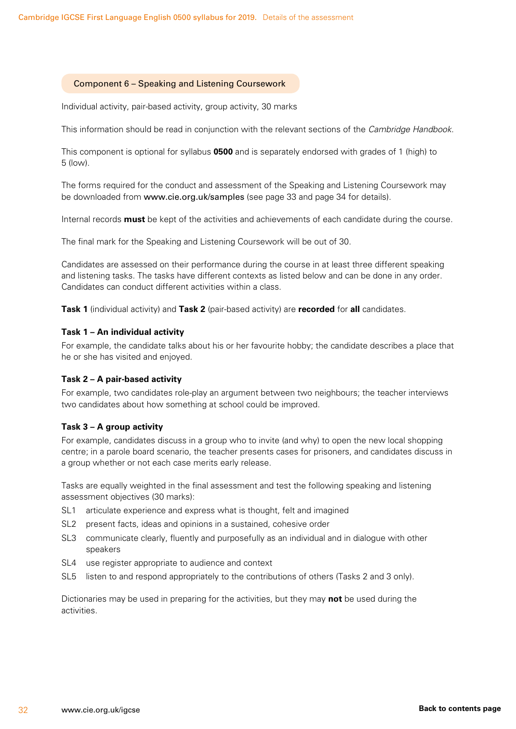#### <span id="page-33-0"></span>Component 6 – Speaking and Listening Coursework

Individual activity, pair-based activity, group activity, 30 marks

This information should be read in conjunction with the relevant sections of the *Cambridge Handbook*.

This component is optional for syllabus **0500** and is separately endorsed with grades of 1 (high) to 5 (low).

The forms required for the conduct and assessment of the Speaking and Listening Coursework may be downloaded from www.cie.org.uk/samples (see page 33 and page 34 for details).

Internal records **must** be kept of the activities and achievements of each candidate during the course.

The final mark for the Speaking and Listening Coursework will be out of 30.

Candidates are assessed on their performance during the course in at least three different speaking and listening tasks. The tasks have different contexts as listed below and can be done in any order. Candidates can conduct different activities within a class.

**Task 1** (individual activity) and **Task 2** (pair-based activity) are **recorded** for **all** candidates.

#### **Task 1 – An individual activity**

For example, the candidate talks about his or her favourite hobby; the candidate describes a place that he or she has visited and enjoyed.

#### **Task 2 – A pair-based activity**

For example, two candidates role-play an argument between two neighbours; the teacher interviews two candidates about how something at school could be improved.

#### **Task 3 – A group activity**

For example, candidates discuss in a group who to invite (and why) to open the new local shopping centre; in a parole board scenario, the teacher presents cases for prisoners, and candidates discuss in a group whether or not each case merits early release.

Tasks are equally weighted in the final assessment and test the following speaking and listening assessment objectives (30 marks):

- SL1 articulate experience and express what is thought, felt and imagined
- SL2 present facts, ideas and opinions in a sustained, cohesive order
- SL3 communicate clearly, fluently and purposefully as an individual and in dialogue with other speakers
- SL4 use register appropriate to audience and context
- SL5 listen to and respond appropriately to the contributions of others (Tasks 2 and 3 only).

Dictionaries may be used in preparing for the activities, but they may **not** be used during the activities.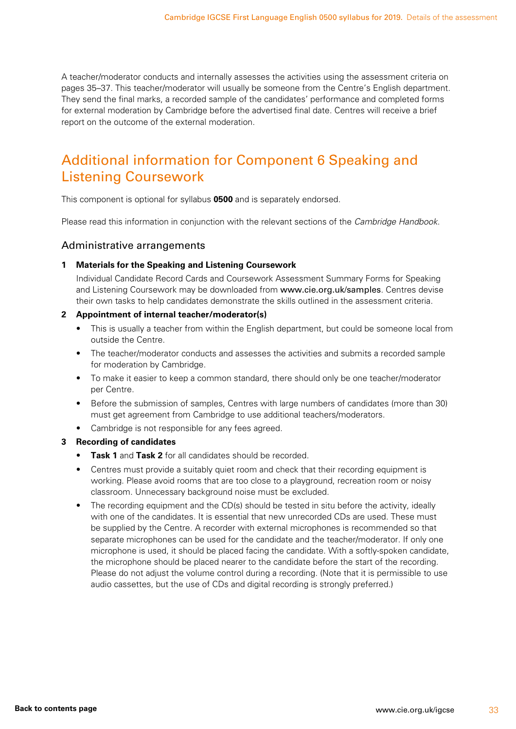<span id="page-34-0"></span>A teacher/moderator conducts and internally assesses the activities using the assessment criteria on pages 35–37. This teacher/moderator will usually be someone from the Centre's English department. They send the final marks, a recorded sample of the candidates' performance and completed forms for external moderation by Cambridge before the advertised final date. Centres will receive a brief report on the outcome of the external moderation.

### Additional information for Component 6 Speaking and Listening Coursework

This component is optional for syllabus **0500** and is separately endorsed.

Please read this information in conjunction with the relevant sections of the *Cambridge Handbook*.

#### Administrative arrangements

#### **1 Materials for the Speaking and Listening Coursework**

Individual Candidate Record Cards and Coursework Assessment Summary Forms for Speaking and Listening Coursework may be downloaded from www.cie.org.uk/samples. Centres devise their own tasks to help candidates demonstrate the skills outlined in the assessment criteria.

#### **2 Appointment of internal teacher/moderator(s)**

- This is usually a teacher from within the English department, but could be someone local from outside the Centre.
- The teacher/moderator conducts and assesses the activities and submits a recorded sample for moderation by Cambridge.
- To make it easier to keep a common standard, there should only be one teacher/moderator per Centre.
- Before the submission of samples, Centres with large numbers of candidates (more than 30) must get agreement from Cambridge to use additional teachers/moderators.
- Cambridge is not responsible for any fees agreed.

#### **3 Recording of candidates**

- **Task 1** and **Task 2** for all candidates should be recorded.
- Centres must provide a suitably quiet room and check that their recording equipment is working. Please avoid rooms that are too close to a playground, recreation room or noisy classroom. Unnecessary background noise must be excluded.
- The recording equipment and the CD(s) should be tested in situ before the activity, ideally with one of the candidates. It is essential that new unrecorded CDs are used. These must be supplied by the Centre. A recorder with external microphones is recommended so that separate microphones can be used for the candidate and the teacher/moderator. If only one microphone is used, it should be placed facing the candidate. With a softly-spoken candidate, the microphone should be placed nearer to the candidate before the start of the recording. Please do not adjust the volume control during a recording. (Note that it is permissible to use audio cassettes, but the use of CDs and digital recording is strongly preferred.)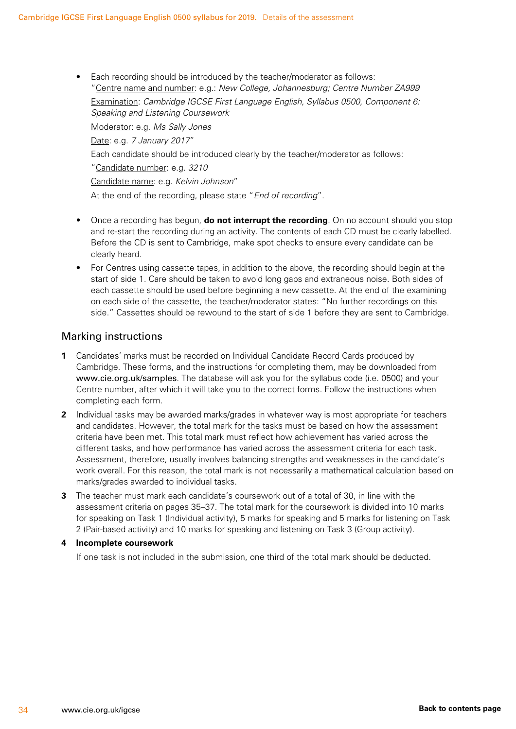• Each recording should be introduced by the teacher/moderator as follows: "Centre name and number: e.g.: *New College, Johannesburg; Centre Number ZA999*

Examination: *Cambridge IGCSE First Language English, Syllabus 0500, Component 6: Speaking and Listening Coursework*

Moderator: e.g. *Ms Sally Jones*

Date: e.g. *7 January 2017*"

Each candidate should be introduced clearly by the teacher/moderator as follows:

"Candidate number: e.g. *3210*

Candidate name: e.g. *Kelvin Johnson*"

At the end of the recording, please state "*End of recording*".

- Once a recording has begun, **do not interrupt the recording**. On no account should you stop and re-start the recording during an activity. The contents of each CD must be clearly labelled. Before the CD is sent to Cambridge, make spot checks to ensure every candidate can be clearly heard.
- For Centres using cassette tapes, in addition to the above, the recording should begin at the start of side 1. Care should be taken to avoid long gaps and extraneous noise. Both sides of each cassette should be used before beginning a new cassette. At the end of the examining on each side of the cassette, the teacher/moderator states: "No further recordings on this side." Cassettes should be rewound to the start of side 1 before they are sent to Cambridge.

#### Marking instructions

- **1** Candidates' marks must be recorded on Individual Candidate Record Cards produced by Cambridge. These forms, and the instructions for completing them, may be downloaded from www.cie.org.uk/samples. The database will ask you for the syllabus code (i.e. 0500) and your Centre number, after which it will take you to the correct forms. Follow the instructions when completing each form.
- **2** Individual tasks may be awarded marks/grades in whatever way is most appropriate for teachers and candidates. However, the total mark for the tasks must be based on how the assessment criteria have been met. This total mark must reflect how achievement has varied across the different tasks, and how performance has varied across the assessment criteria for each task. Assessment, therefore, usually involves balancing strengths and weaknesses in the candidate's work overall. For this reason, the total mark is not necessarily a mathematical calculation based on marks/grades awarded to individual tasks.
- **3** The teacher must mark each candidate's coursework out of a total of 30, in line with the assessment criteria on pages 35–37. The total mark for the coursework is divided into 10 marks for speaking on Task 1 (Individual activity), 5 marks for speaking and 5 marks for listening on Task 2 (Pair-based activity) and 10 marks for speaking and listening on Task 3 (Group activity).

#### **4 Incomplete coursework**

If one task is not included in the submission, one third of the total mark should be deducted.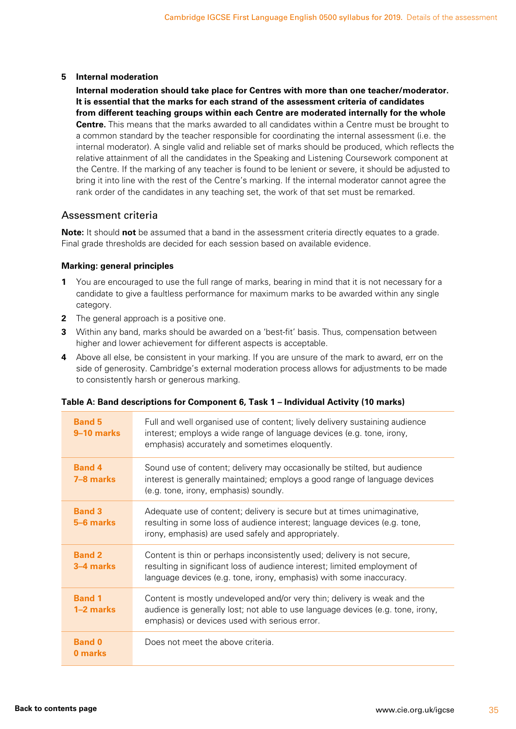#### **5 Internal moderation**

 **Internal moderation should take place for Centres with more than one teacher/moderator. It is essential that the marks for each strand of the assessment criteria of candidates from different teaching groups within each Centre are moderated internally for the whole Centre.** This means that the marks awarded to all candidates within a Centre must be brought to a common standard by the teacher responsible for coordinating the internal assessment (i.e. the internal moderator). A single valid and reliable set of marks should be produced, which reflects the relative attainment of all the candidates in the Speaking and Listening Coursework component at the Centre. If the marking of any teacher is found to be lenient or severe, it should be adjusted to bring it into line with the rest of the Centre's marking. If the internal moderator cannot agree the rank order of the candidates in any teaching set, the work of that set must be remarked.

#### Assessment criteria

**Note:** It should **not** be assumed that a band in the assessment criteria directly equates to a grade. Final grade thresholds are decided for each session based on available evidence.

#### **Marking: general principles**

- **1** You are encouraged to use the full range of marks, bearing in mind that it is not necessary for a candidate to give a faultless performance for maximum marks to be awarded within any single category.
- **2** The general approach is a positive one.
- **3** Within any band, marks should be awarded on a 'best-fit' basis. Thus, compensation between higher and lower achievement for different aspects is acceptable.
- **4** Above all else, be consistent in your marking. If you are unsure of the mark to award, err on the side of generosity. Cambridge's external moderation process allows for adjustments to be made to consistently harsh or generous marking.

| <b>Band 5</b><br>9–10 marks | Full and well organised use of content; lively delivery sustaining audience<br>interest; employs a wide range of language devices (e.g. tone, irony,<br>emphasis) accurately and sometimes eloquently.                      |
|-----------------------------|-----------------------------------------------------------------------------------------------------------------------------------------------------------------------------------------------------------------------------|
| <b>Band 4</b><br>7-8 marks  | Sound use of content; delivery may occasionally be stilted, but audience<br>interest is generally maintained; employs a good range of language devices<br>(e.g. tone, irony, emphasis) soundly.                             |
| <b>Band 3</b><br>5-6 marks  | Adequate use of content; delivery is secure but at times unimaginative,<br>resulting in some loss of audience interest; language devices (e.g. tone,<br>irony, emphasis) are used safely and appropriately.                 |
| <b>Band 2</b><br>3–4 marks  | Content is thin or perhaps inconsistently used; delivery is not secure,<br>resulting in significant loss of audience interest; limited employment of<br>language devices (e.g. tone, irony, emphasis) with some inaccuracy. |
| <b>Band 1</b><br>1–2 marks  | Content is mostly undeveloped and/or very thin; delivery is weak and the<br>audience is generally lost; not able to use language devices (e.g. tone, irony,<br>emphasis) or devices used with serious error.                |
| <b>Band 0</b><br>0 marks    | Does not meet the above criteria.                                                                                                                                                                                           |

#### **Table A: Band descriptions for Component 6, Task 1 – Individual Activity (10 marks)**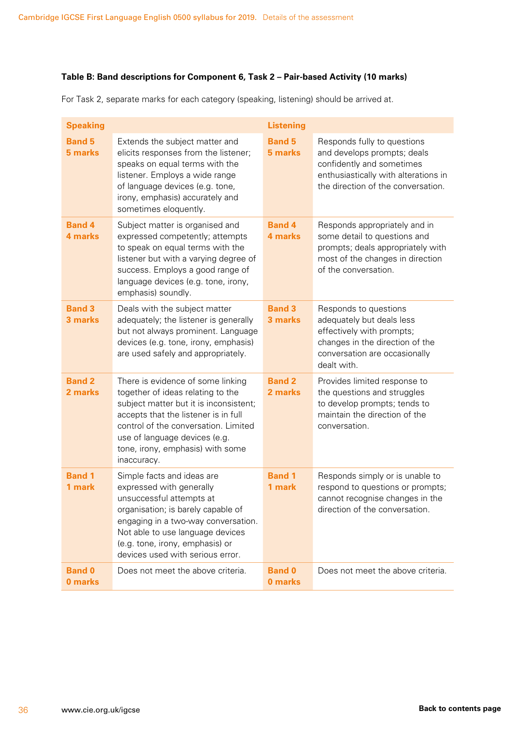#### **Table B: Band descriptions for Component 6, Task 2 – Pair-based Activity (10 marks)**

| <b>Speaking</b>          |                                                                                                                                                                                                                                                                                      | <b>Listening</b>         |                                                                                                                                                                       |
|--------------------------|--------------------------------------------------------------------------------------------------------------------------------------------------------------------------------------------------------------------------------------------------------------------------------------|--------------------------|-----------------------------------------------------------------------------------------------------------------------------------------------------------------------|
| <b>Band 5</b><br>5 marks | Extends the subject matter and<br>elicits responses from the listener;<br>speaks on equal terms with the<br>listener. Employs a wide range<br>of language devices (e.g. tone,<br>irony, emphasis) accurately and<br>sometimes eloquently.                                            | <b>Band 5</b><br>5 marks | Responds fully to questions<br>and develops prompts; deals<br>confidently and sometimes<br>enthusiastically with alterations in<br>the direction of the conversation. |
| <b>Band 4</b><br>4 marks | Subject matter is organised and<br>expressed competently; attempts<br>to speak on equal terms with the<br>listener but with a varying degree of<br>success. Employs a good range of<br>language devices (e.g. tone, irony,<br>emphasis) soundly.                                     | <b>Band 4</b><br>4 marks | Responds appropriately and in<br>some detail to questions and<br>prompts; deals appropriately with<br>most of the changes in direction<br>of the conversation.        |
| <b>Band 3</b><br>3 marks | Deals with the subject matter<br>adequately; the listener is generally<br>but not always prominent. Language<br>devices (e.g. tone, irony, emphasis)<br>are used safely and appropriately.                                                                                           | <b>Band 3</b><br>3 marks | Responds to questions<br>adequately but deals less<br>effectively with prompts;<br>changes in the direction of the<br>conversation are occasionally<br>dealt with.    |
| <b>Band 2</b><br>2 marks | There is evidence of some linking<br>together of ideas relating to the<br>subject matter but it is inconsistent;<br>accepts that the listener is in full<br>control of the conversation. Limited<br>use of language devices (e.g.<br>tone, irony, emphasis) with some<br>inaccuracy. | <b>Band 2</b><br>2 marks | Provides limited response to<br>the questions and struggles<br>to develop prompts; tends to<br>maintain the direction of the<br>conversation.                         |
| <b>Band 1</b><br>1 mark  | Simple facts and ideas are<br>expressed with generally<br>unsuccessful attempts at<br>organisation; is barely capable of<br>engaging in a two-way conversation.<br>Not able to use language devices<br>(e.g. tone, irony, emphasis) or<br>devices used with serious error.           | <b>Band 1</b><br>1 mark  | Responds simply or is unable to<br>respond to questions or prompts;<br>cannot recognise changes in the<br>direction of the conversation.                              |
| <b>Band 0</b><br>0 marks | Does not meet the above criteria.                                                                                                                                                                                                                                                    | <b>Band 0</b><br>0 marks | Does not meet the above criteria.                                                                                                                                     |

For Task 2, separate marks for each category (speaking, listening) should be arrived at.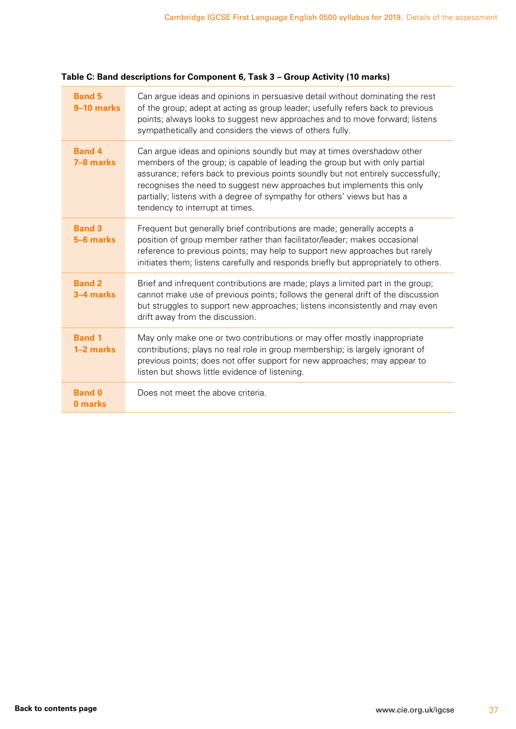#### **Table C: Band descriptions for Component 6, Task 3 – Group Activity (10 marks)**

| <b>Band 5</b><br>9-10 marks | Can argue ideas and opinions in persuasive detail without dominating the rest<br>of the group; adept at acting as group leader; usefully refers back to previous<br>points; always looks to suggest new approaches and to move forward; listens<br>sympathetically and considers the views of others fully.                                                                                                                        |
|-----------------------------|------------------------------------------------------------------------------------------------------------------------------------------------------------------------------------------------------------------------------------------------------------------------------------------------------------------------------------------------------------------------------------------------------------------------------------|
| <b>Band 4</b><br>7-8 marks  | Can argue ideas and opinions soundly but may at times overshadow other<br>members of the group; is capable of leading the group but with only partial<br>assurance; refers back to previous points soundly but not entirely successfully;<br>recognises the need to suggest new approaches but implements this only<br>partially; listens with a degree of sympathy for others' views but has a<br>tendency to interrupt at times. |
| <b>Band 3</b><br>5-6 marks  | Frequent but generally brief contributions are made; generally accepts a<br>position of group member rather than facilitator/leader; makes occasional<br>reference to previous points; may help to support new approaches but rarely<br>initiates them; listens carefully and responds briefly but appropriately to others.                                                                                                        |
| <b>Band 2</b><br>3-4 marks  | Brief and infrequent contributions are made; plays a limited part in the group;<br>cannot make use of previous points; follows the general drift of the discussion<br>but struggles to support new approaches; listens inconsistently and may even<br>drift away from the discussion.                                                                                                                                              |
| <b>Band 1</b><br>1-2 marks  | May only make one or two contributions or may offer mostly inappropriate<br>contributions; plays no real role in group membership; is largely ignorant of<br>previous points; does not offer support for new approaches; may appear to<br>listen but shows little evidence of listening.                                                                                                                                           |
| <b>Band 0</b><br>0 marks    | Does not meet the above criteria.                                                                                                                                                                                                                                                                                                                                                                                                  |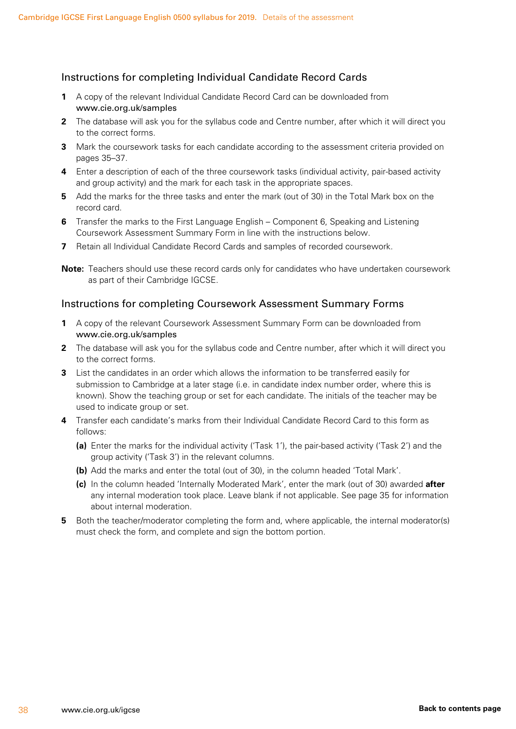#### Instructions for completing Individual Candidate Record Cards

- **1** A copy of the relevant Individual Candidate Record Card can be downloaded from www.cie.org.uk/samples
- **2** The database will ask you for the syllabus code and Centre number, after which it will direct you to the correct forms.
- **3** Mark the coursework tasks for each candidate according to the assessment criteria provided on pages 35–37.
- **4** Enter a description of each of the three coursework tasks (individual activity, pair-based activity and group activity) and the mark for each task in the appropriate spaces.
- **5** Add the marks for the three tasks and enter the mark (out of 30) in the Total Mark box on the record card.
- **6** Transfer the marks to the First Language English Component 6, Speaking and Listening Coursework Assessment Summary Form in line with the instructions below.
- **7** Retain all Individual Candidate Record Cards and samples of recorded coursework.
- **Note:** Teachers should use these record cards only for candidates who have undertaken coursework as part of their Cambridge IGCSE.

#### Instructions for completing Coursework Assessment Summary Forms

- **1** A copy of the relevant Coursework Assessment Summary Form can be downloaded from www.cie.org.uk/samples
- **2** The database will ask you for the syllabus code and Centre number, after which it will direct you to the correct forms.
- **3** List the candidates in an order which allows the information to be transferred easily for submission to Cambridge at a later stage (i.e. in candidate index number order, where this is known). Show the teaching group or set for each candidate. The initials of the teacher may be used to indicate group or set.
- **4** Transfer each candidate's marks from their Individual Candidate Record Card to this form as follows:
	- **(a)** Enter the marks for the individual activity ('Task 1'), the pair-based activity ('Task 2') and the group activity ('Task 3') in the relevant columns.
	- **(b)** Add the marks and enter the total (out of 30), in the column headed 'Total Mark'.
	- **(c)** In the column headed 'Internally Moderated Mark', enter the mark (out of 30) awarded **after** any internal moderation took place. Leave blank if not applicable. See page 35 for information about internal moderation.
- **5** Both the teacher/moderator completing the form and, where applicable, the internal moderator(s) must check the form, and complete and sign the bottom portion.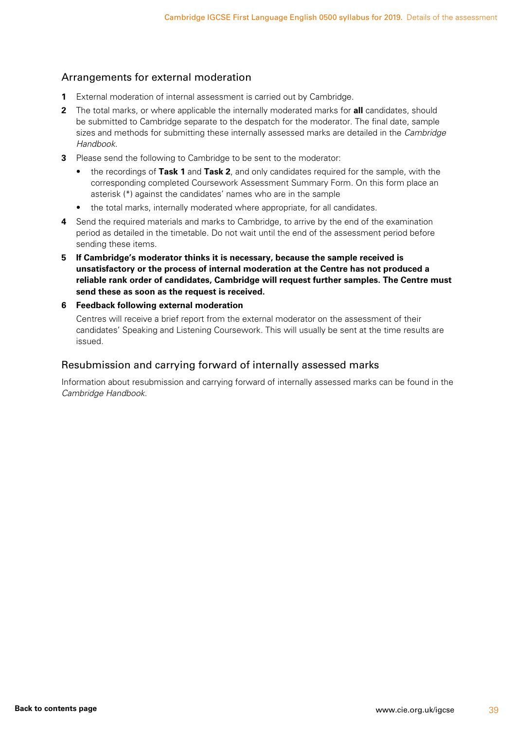#### Arrangements for external moderation

- **1** External moderation of internal assessment is carried out by Cambridge.
- **2** The total marks, or where applicable the internally moderated marks for **all** candidates, should be submitted to Cambridge separate to the despatch for the moderator. The final date, sample sizes and methods for submitting these internally assessed marks are detailed in the *Cambridge Handbook*.
- **3** Please send the following to Cambridge to be sent to the moderator:
	- the recordings of **Task 1** and **Task 2**, and only candidates required for the sample, with the corresponding completed Coursework Assessment Summary Form. On this form place an asterisk (\*) against the candidates' names who are in the sample
	- the total marks, internally moderated where appropriate, for all candidates.
- **4** Send the required materials and marks to Cambridge, to arrive by the end of the examination period as detailed in the timetable. Do not wait until the end of the assessment period before sending these items.
- **5 If Cambridge's moderator thinks it is necessary, because the sample received is unsatisfactory or the process of internal moderation at the Centre has not produced a reliable rank order of candidates, Cambridge will request further samples. The Centre must send these as soon as the request is received.**
- **6 Feedback following external moderation**

Centres will receive a brief report from the external moderator on the assessment of their candidates' Speaking and Listening Coursework. This will usually be sent at the time results are issued.

#### Resubmission and carrying forward of internally assessed marks

Information about resubmission and carrying forward of internally assessed marks can be found in the *Cambridge Handbook*.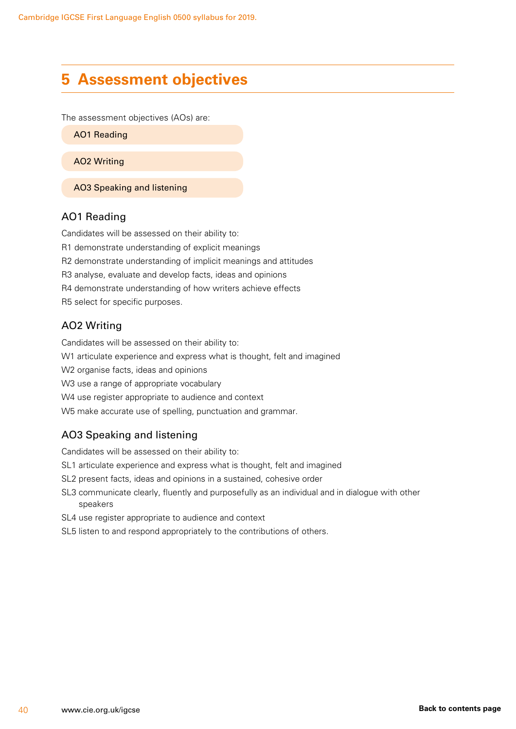### <span id="page-41-0"></span>**5 Assessment objectives**

The assessment objectives (AOs) are:

AO1 Reading

AO2 Writing

AO3 Speaking and listening

#### AO1 Reading

Candidates will be assessed on their ability to: R1 demonstrate understanding of explicit meanings R2 demonstrate understanding of implicit meanings and attitudes R3 analyse, evaluate and develop facts, ideas and opinions R4 demonstrate understanding of how writers achieve effects R5 select for specific purposes.

#### AO2 Writing

Candidates will be assessed on their ability to:

W1 articulate experience and express what is thought, felt and imagined

W2 organise facts, ideas and opinions

W3 use a range of appropriate vocabulary

W4 use register appropriate to audience and context

W5 make accurate use of spelling, punctuation and grammar.

#### AO3 Speaking and listening

Candidates will be assessed on their ability to:

SL1 articulate experience and express what is thought, felt and imagined

SL2 present facts, ideas and opinions in a sustained, cohesive order

SL3 communicate clearly, fluently and purposefully as an individual and in dialogue with other speakers

SL4 use register appropriate to audience and context

SL5 listen to and respond appropriately to the contributions of others.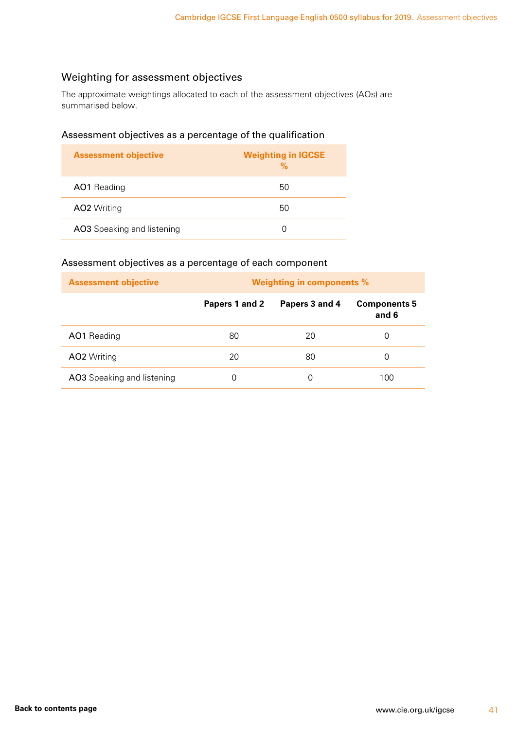### Weighting for assessment objectives

The approximate weightings allocated to each of the assessment objectives (AOs) are summarised below.

#### Assessment objectives as a percentage of the qualification

| <b>Assessment objective</b> | <b>Weighting in IGCSE</b><br>$\frac{9}{6}$ |
|-----------------------------|--------------------------------------------|
| AO1 Reading                 | 50                                         |
| <b>AO2</b> Writing          | 50                                         |
| AO3 Speaking and listening  | $\Box$                                     |

#### Assessment objectives as a percentage of each component

| <b>Assessment objective</b> | <b>Weighting in components %</b> |                |                              |
|-----------------------------|----------------------------------|----------------|------------------------------|
|                             | Papers 1 and 2                   | Papers 3 and 4 | <b>Components 5</b><br>and 6 |
| <b>AO1</b> Reading          | 80                               | 20             | O                            |
| <b>AO2</b> Writing          | 20                               | 80             | O                            |
| AO3 Speaking and listening  |                                  | O              | 100                          |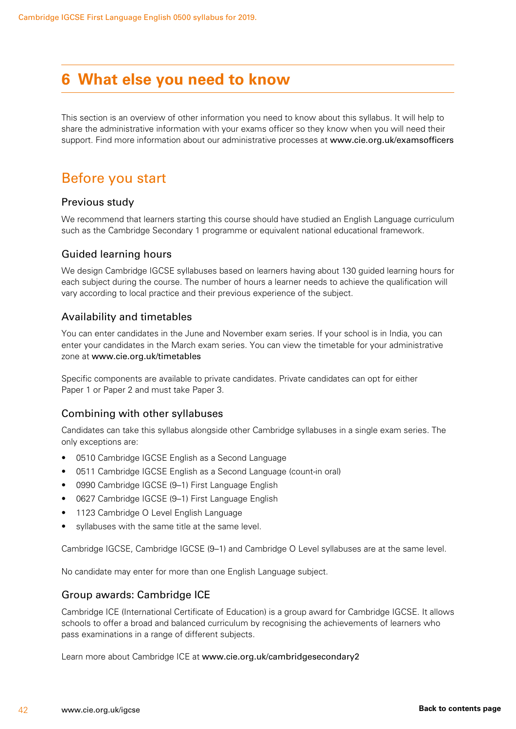### <span id="page-43-0"></span>**6 What else you need to know**

This section is an overview of other information you need to know about this syllabus. It will help to share the administrative information with your exams officer so they know when you will need their support. Find more information about our administrative processes at www.cie.org.uk/examsofficers

### Before you start

#### Previous study

We recommend that learners starting this course should have studied an English Language curriculum such as the Cambridge Secondary 1 programme or equivalent national educational framework.

#### Guided learning hours

We design Cambridge IGCSE syllabuses based on learners having about 130 guided learning hours for each subject during the course. The number of hours a learner needs to achieve the qualification will vary according to local practice and their previous experience of the subject.

#### Availability and timetables

You can enter candidates in the June and November exam series. If your school is in India, you can enter your candidates in the March exam series. You can view the timetable for your administrative zone at www.cie.org.uk/timetables

Specific components are available to private candidates. Private candidates can opt for either Paper 1 or Paper 2 and must take Paper 3.

#### Combining with other syllabuses

Candidates can take this syllabus alongside other Cambridge syllabuses in a single exam series. The only exceptions are:

- 0510 Cambridge IGCSE English as a Second Language
- 0511 Cambridge IGCSE English as a Second Language (count-in oral)
- 0990 Cambridge IGCSE (9-1) First Language English
- 0627 Cambridge IGCSE (9–1) First Language English
- 1123 Cambridge O Level English Language
- syllabuses with the same title at the same level.

Cambridge IGCSE, Cambridge IGCSE (9–1) and Cambridge O Level syllabuses are at the same level.

No candidate may enter for more than one English Language subject.

#### Group awards: Cambridge ICE

Cambridge ICE (International Certificate of Education) is a group award for Cambridge IGCSE. It allows schools to offer a broad and balanced curriculum by recognising the achievements of learners who pass examinations in a range of different subjects.

Learn more about Cambridge ICE at www.cie.org.uk/cambridgesecondary2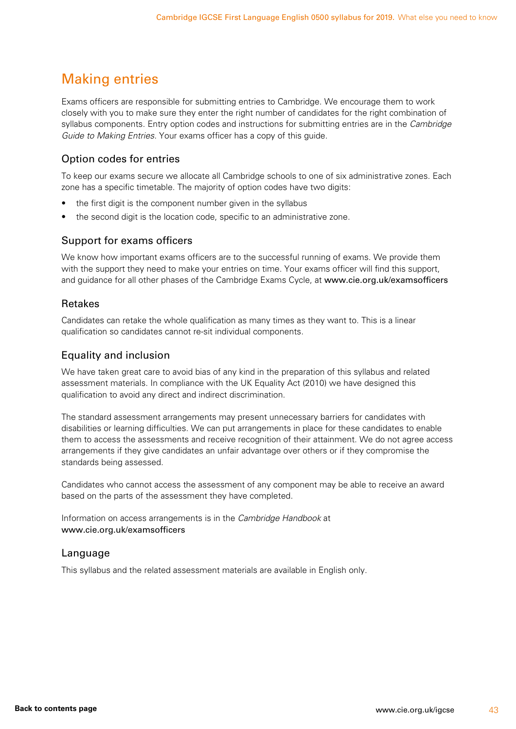### <span id="page-44-0"></span>Making entries

Exams officers are responsible for submitting entries to Cambridge. We encourage them to work closely with you to make sure they enter the right number of candidates for the right combination of syllabus components. Entry option codes and instructions for submitting entries are in the *Cambridge Guide to Making Entries*. Your exams officer has a copy of this guide.

#### Option codes for entries

To keep our exams secure we allocate all Cambridge schools to one of six administrative zones. Each zone has a specific timetable. The majority of option codes have two digits:

- the first digit is the component number given in the syllabus
- the second digit is the location code, specific to an administrative zone.

#### Support for exams officers

We know how important exams officers are to the successful running of exams. We provide them with the support they need to make your entries on time. Your exams officer will find this support, and guidance for all other phases of the Cambridge Exams Cycle, at www.cie.org.uk/examsofficers

#### Retakes

Candidates can retake the whole qualification as many times as they want to. This is a linear qualification so candidates cannot re-sit individual components.

#### Equality and inclusion

We have taken great care to avoid bias of any kind in the preparation of this syllabus and related assessment materials. In compliance with the UK Equality Act (2010) we have designed this qualification to avoid any direct and indirect discrimination.

The standard assessment arrangements may present unnecessary barriers for candidates with disabilities or learning difficulties. We can put arrangements in place for these candidates to enable them to access the assessments and receive recognition of their attainment. We do not agree access arrangements if they give candidates an unfair advantage over others or if they compromise the standards being assessed.

Candidates who cannot access the assessment of any component may be able to receive an award based on the parts of the assessment they have completed.

Information on access arrangements is in the *Cambridge Handbook* at www.cie.org.uk/examsofficers

#### Language

This syllabus and the related assessment materials are available in English only.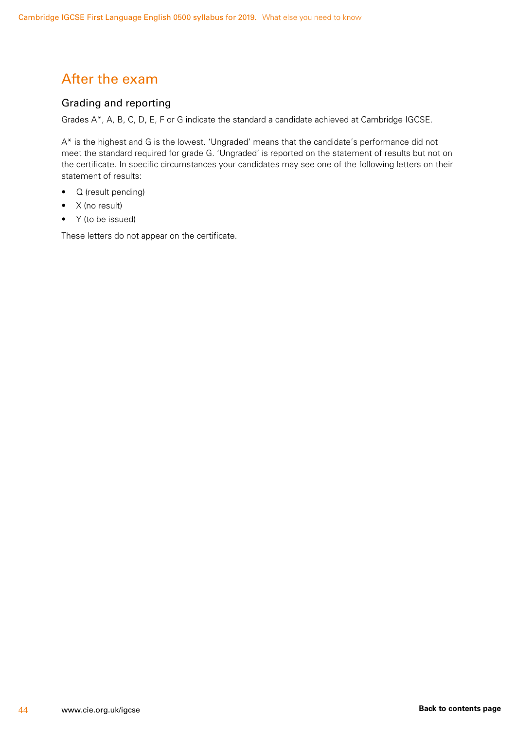### <span id="page-45-0"></span>After the exam

#### Grading and reporting

Grades A\*, A, B, C, D, E, F or G indicate the standard a candidate achieved at Cambridge IGCSE.

A\* is the highest and G is the lowest. 'Ungraded' means that the candidate's performance did not meet the standard required for grade G. 'Ungraded' is reported on the statement of results but not on the certificate. In specific circumstances your candidates may see one of the following letters on their statement of results:

- Q (result pending)
- X (no result)
- Y (to be issued)

These letters do not appear on the certificate.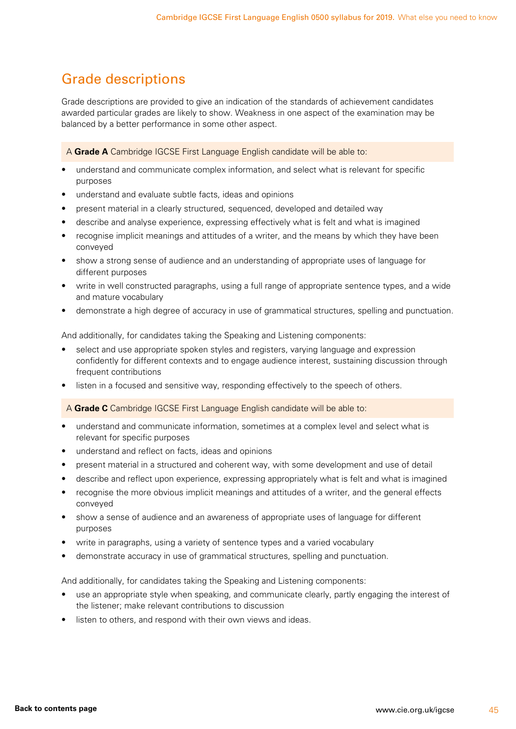### <span id="page-46-0"></span>Grade descriptions

Grade descriptions are provided to give an indication of the standards of achievement candidates awarded particular grades are likely to show. Weakness in one aspect of the examination may be balanced by a better performance in some other aspect.

A **Grade A** Cambridge IGCSE First Language English candidate will be able to:

- understand and communicate complex information, and select what is relevant for specific purposes
- understand and evaluate subtle facts, ideas and opinions
- present material in a clearly structured, sequenced, developed and detailed way
- describe and analyse experience, expressing effectively what is felt and what is imagined
- recognise implicit meanings and attitudes of a writer, and the means by which they have been conveyed
- show a strong sense of audience and an understanding of appropriate uses of language for different purposes
- write in well constructed paragraphs, using a full range of appropriate sentence types, and a wide and mature vocabulary
- demonstrate a high degree of accuracy in use of grammatical structures, spelling and punctuation.

And additionally, for candidates taking the Speaking and Listening components:

- select and use appropriate spoken styles and registers, varying language and expression confidently for different contexts and to engage audience interest, sustaining discussion through frequent contributions
- listen in a focused and sensitive way, responding effectively to the speech of others.

A **Grade C** Cambridge IGCSE First Language English candidate will be able to:

- understand and communicate information, sometimes at a complex level and select what is relevant for specific purposes
- understand and reflect on facts, ideas and opinions
- present material in a structured and coherent way, with some development and use of detail
- describe and reflect upon experience, expressing appropriately what is felt and what is imagined
- recognise the more obvious implicit meanings and attitudes of a writer, and the general effects conveyed
- show a sense of audience and an awareness of appropriate uses of language for different purposes
- write in paragraphs, using a variety of sentence types and a varied vocabulary
- demonstrate accuracy in use of grammatical structures, spelling and punctuation.

And additionally, for candidates taking the Speaking and Listening components:

- use an appropriate style when speaking, and communicate clearly, partly engaging the interest of the listener; make relevant contributions to discussion
- listen to others, and respond with their own views and ideas.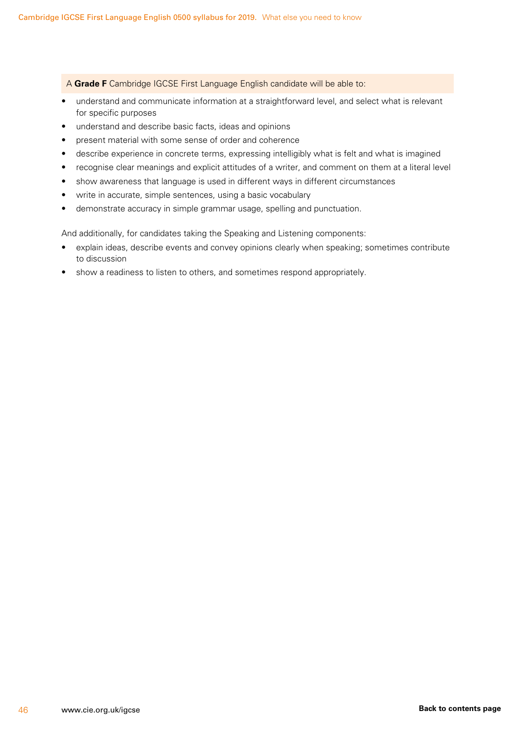A **Grade F** Cambridge IGCSE First Language English candidate will be able to:

- understand and communicate information at a straightforward level, and select what is relevant for specific purposes
- understand and describe basic facts, ideas and opinions
- present material with some sense of order and coherence
- describe experience in concrete terms, expressing intelligibly what is felt and what is imagined
- recognise clear meanings and explicit attitudes of a writer, and comment on them at a literal level
- show awareness that language is used in different ways in different circumstances
- write in accurate, simple sentences, using a basic vocabulary
- demonstrate accuracy in simple grammar usage, spelling and punctuation.

And additionally, for candidates taking the Speaking and Listening components:

- explain ideas, describe events and convey opinions clearly when speaking; sometimes contribute to discussion
- show a readiness to listen to others, and sometimes respond appropriately.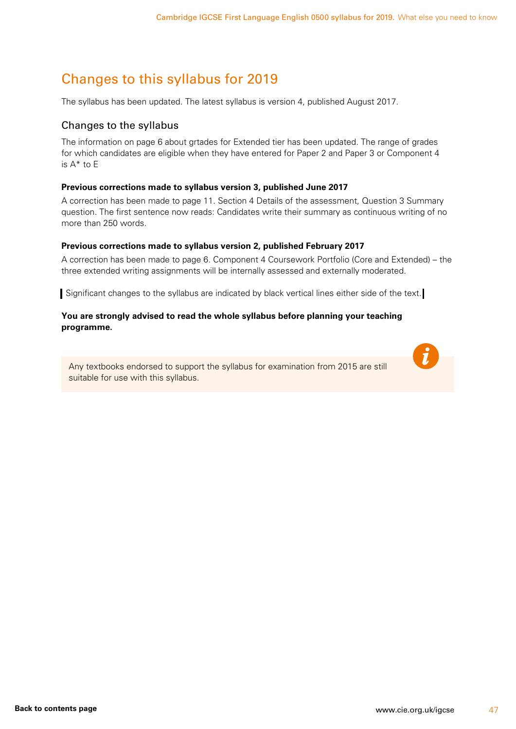### <span id="page-48-1"></span><span id="page-48-0"></span>Changes to this syllabus for 2019

The syllabus has been updated. The latest syllabus is version 4, published August 2017.

#### Changes to the syllabus

The information on page 6 about grtades for Extended tier has been updated. The range of grades for which candidates are eligible when they have entered for Paper 2 and Paper 3 or Component 4 is A\* to E

#### **Previous corrections made to syllabus version 3, published June 2017**

A correction has been made to page 11. Section 4 Details of the assessment, Question 3 Summary question. The first sentence now reads: Candidates write their summary as continuous writing of no more than 250 words.

#### **Previous corrections made to syllabus version 2, published February 2017**

A correction has been made to page 6. Component 4 Coursework Portfolio (Core and Extended) – the three extended writing assignments will be internally assessed and externally moderated.

Significant changes to the syllabus are indicated by black vertical lines either side of the text.

#### **You are strongly advised to read the whole syllabus before planning your teaching programme.**

Any textbooks endorsed to support the syllabus for examination from 2015 are still suitable for use with this syllabus.